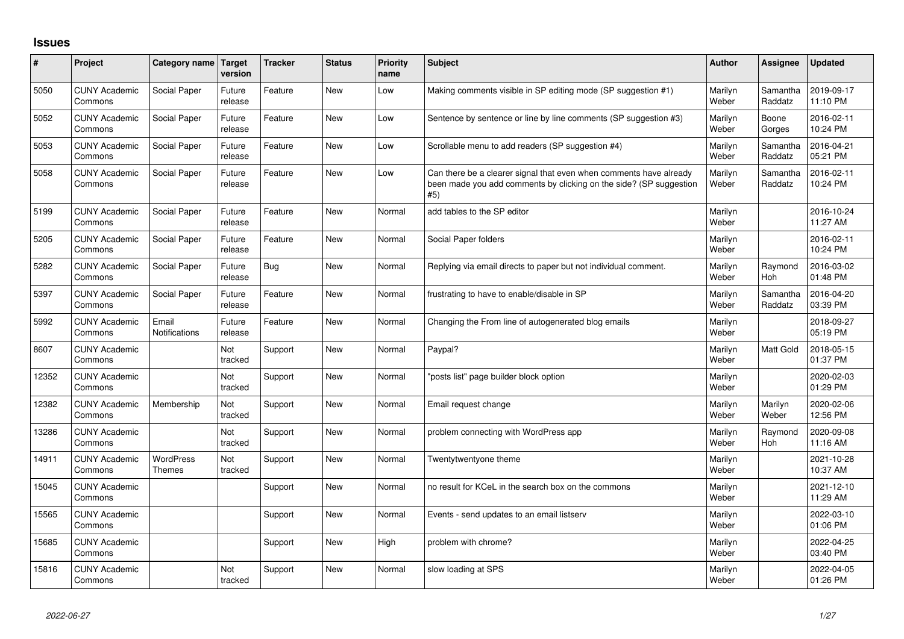## **Issues**

| #     | Project                         | Category name                     | <b>Target</b><br>version | Tracker    | <b>Status</b> | <b>Priority</b><br>name | <b>Subject</b>                                                                                                                                  | <b>Author</b>    | <b>Assignee</b>     | <b>Updated</b>         |
|-------|---------------------------------|-----------------------------------|--------------------------|------------|---------------|-------------------------|-------------------------------------------------------------------------------------------------------------------------------------------------|------------------|---------------------|------------------------|
| 5050  | <b>CUNY Academic</b><br>Commons | Social Paper                      | Future<br>release        | Feature    | <b>New</b>    | Low                     | Making comments visible in SP editing mode (SP suggestion #1)                                                                                   | Marilyn<br>Weber | Samantha<br>Raddatz | 2019-09-17<br>11:10 PM |
| 5052  | <b>CUNY Academic</b><br>Commons | Social Paper                      | Future<br>release        | Feature    | <b>New</b>    | Low                     | Sentence by sentence or line by line comments (SP suggestion #3)                                                                                | Marilyn<br>Weber | Boone<br>Gorges     | 2016-02-11<br>10:24 PM |
| 5053  | <b>CUNY Academic</b><br>Commons | Social Paper                      | Future<br>release        | Feature    | <b>New</b>    | Low                     | Scrollable menu to add readers (SP suggestion #4)                                                                                               | Marilyn<br>Weber | Samantha<br>Raddatz | 2016-04-21<br>05:21 PM |
| 5058  | <b>CUNY Academic</b><br>Commons | Social Paper                      | Future<br>release        | Feature    | <b>New</b>    | Low                     | Can there be a clearer signal that even when comments have already<br>been made you add comments by clicking on the side? (SP suggestion<br>#5) | Marilyn<br>Weber | Samantha<br>Raddatz | 2016-02-11<br>10:24 PM |
| 5199  | <b>CUNY Academic</b><br>Commons | Social Paper                      | Future<br>release        | Feature    | <b>New</b>    | Normal                  | add tables to the SP editor                                                                                                                     | Marilyn<br>Weber |                     | 2016-10-24<br>11:27 AM |
| 5205  | <b>CUNY Academic</b><br>Commons | Social Paper                      | Future<br>release        | Feature    | <b>New</b>    | Normal                  | Social Paper folders                                                                                                                            | Marilyn<br>Weber |                     | 2016-02-11<br>10:24 PM |
| 5282  | <b>CUNY Academic</b><br>Commons | Social Paper                      | Future<br>release        | <b>Bug</b> | <b>New</b>    | Normal                  | Replying via email directs to paper but not individual comment.                                                                                 | Marilyn<br>Weber | Raymond<br>Hoh      | 2016-03-02<br>01:48 PM |
| 5397  | <b>CUNY Academic</b><br>Commons | Social Paper                      | Future<br>release        | Feature    | <b>New</b>    | Normal                  | frustrating to have to enable/disable in SP                                                                                                     | Marilyn<br>Weber | Samantha<br>Raddatz | 2016-04-20<br>03:39 PM |
| 5992  | <b>CUNY Academic</b><br>Commons | Email<br>Notifications            | Future<br>release        | Feature    | New           | Normal                  | Changing the From line of autogenerated blog emails                                                                                             | Marilyn<br>Weber |                     | 2018-09-27<br>05:19 PM |
| 8607  | <b>CUNY Academic</b><br>Commons |                                   | Not<br>tracked           | Support    | <b>New</b>    | Normal                  | Paypal?                                                                                                                                         | Marilyn<br>Weber | <b>Matt Gold</b>    | 2018-05-15<br>01:37 PM |
| 12352 | <b>CUNY Academic</b><br>Commons |                                   | Not<br>tracked           | Support    | <b>New</b>    | Normal                  | 'posts list" page builder block option                                                                                                          | Marilyn<br>Weber |                     | 2020-02-03<br>01:29 PM |
| 12382 | <b>CUNY Academic</b><br>Commons | Membership                        | Not<br>tracked           | Support    | <b>New</b>    | Normal                  | Email request change                                                                                                                            | Marilyn<br>Weber | Marilyn<br>Weber    | 2020-02-06<br>12:56 PM |
| 13286 | <b>CUNY Academic</b><br>Commons |                                   | Not<br>tracked           | Support    | <b>New</b>    | Normal                  | problem connecting with WordPress app                                                                                                           | Marilyn<br>Weber | Raymond<br>Hoh      | 2020-09-08<br>11:16 AM |
| 14911 | <b>CUNY Academic</b><br>Commons | <b>WordPress</b><br><b>Themes</b> | Not<br>tracked           | Support    | <b>New</b>    | Normal                  | Twentytwentyone theme                                                                                                                           | Marilyn<br>Weber |                     | 2021-10-28<br>10:37 AM |
| 15045 | <b>CUNY Academic</b><br>Commons |                                   |                          | Support    | <b>New</b>    | Normal                  | no result for KCeL in the search box on the commons                                                                                             | Marilyn<br>Weber |                     | 2021-12-10<br>11:29 AM |
| 15565 | <b>CUNY Academic</b><br>Commons |                                   |                          | Support    | <b>New</b>    | Normal                  | Events - send updates to an email listserv                                                                                                      | Marilyn<br>Weber |                     | 2022-03-10<br>01:06 PM |
| 15685 | <b>CUNY Academic</b><br>Commons |                                   |                          | Support    | <b>New</b>    | High                    | problem with chrome?                                                                                                                            | Marilyn<br>Weber |                     | 2022-04-25<br>03:40 PM |
| 15816 | <b>CUNY Academic</b><br>Commons |                                   | Not<br>tracked           | Support    | <b>New</b>    | Normal                  | slow loading at SPS                                                                                                                             | Marilyn<br>Weber |                     | 2022-04-05<br>01:26 PM |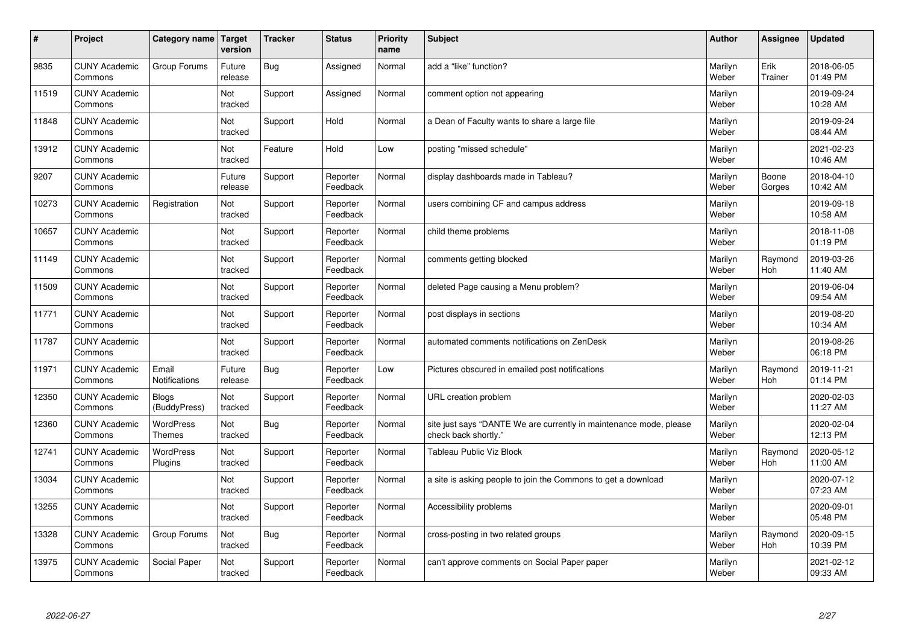| #     | Project                         | Category name                 | Target<br>version | <b>Tracker</b> | <b>Status</b>        | <b>Priority</b><br>name | <b>Subject</b>                                                                             | <b>Author</b>    | Assignee              | <b>Updated</b>         |
|-------|---------------------------------|-------------------------------|-------------------|----------------|----------------------|-------------------------|--------------------------------------------------------------------------------------------|------------------|-----------------------|------------------------|
| 9835  | <b>CUNY Academic</b><br>Commons | Group Forums                  | Future<br>release | Bug            | Assigned             | Normal                  | add a "like" function?                                                                     | Marilyn<br>Weber | Erik<br>Trainer       | 2018-06-05<br>01:49 PM |
| 11519 | <b>CUNY Academic</b><br>Commons |                               | Not<br>tracked    | Support        | Assigned             | Normal                  | comment option not appearing                                                               | Marilyn<br>Weber |                       | 2019-09-24<br>10:28 AM |
| 11848 | <b>CUNY Academic</b><br>Commons |                               | Not<br>tracked    | Support        | Hold                 | Normal                  | a Dean of Faculty wants to share a large file                                              | Marilyn<br>Weber |                       | 2019-09-24<br>08:44 AM |
| 13912 | <b>CUNY Academic</b><br>Commons |                               | Not<br>tracked    | Feature        | Hold                 | Low                     | posting "missed schedule"                                                                  | Marilyn<br>Weber |                       | 2021-02-23<br>10:46 AM |
| 9207  | <b>CUNY Academic</b><br>Commons |                               | Future<br>release | Support        | Reporter<br>Feedback | Normal                  | display dashboards made in Tableau?                                                        | Marilyn<br>Weber | Boone<br>Gorges       | 2018-04-10<br>10:42 AM |
| 10273 | <b>CUNY Academic</b><br>Commons | Registration                  | Not<br>tracked    | Support        | Reporter<br>Feedback | Normal                  | users combining CF and campus address                                                      | Marilyn<br>Weber |                       | 2019-09-18<br>10:58 AM |
| 10657 | <b>CUNY Academic</b><br>Commons |                               | Not<br>tracked    | Support        | Reporter<br>Feedback | Normal                  | child theme problems                                                                       | Marilyn<br>Weber |                       | 2018-11-08<br>01:19 PM |
| 11149 | <b>CUNY Academic</b><br>Commons |                               | Not<br>tracked    | Support        | Reporter<br>Feedback | Normal                  | comments getting blocked                                                                   | Marilyn<br>Weber | Raymond<br>Hoh        | 2019-03-26<br>11:40 AM |
| 11509 | <b>CUNY Academic</b><br>Commons |                               | Not<br>tracked    | Support        | Reporter<br>Feedback | Normal                  | deleted Page causing a Menu problem?                                                       | Marilyn<br>Weber |                       | 2019-06-04<br>09:54 AM |
| 11771 | <b>CUNY Academic</b><br>Commons |                               | Not<br>tracked    | Support        | Reporter<br>Feedback | Normal                  | post displays in sections                                                                  | Marilyn<br>Weber |                       | 2019-08-20<br>10:34 AM |
| 11787 | <b>CUNY Academic</b><br>Commons |                               | Not<br>tracked    | Support        | Reporter<br>Feedback | Normal                  | automated comments notifications on ZenDesk                                                | Marilyn<br>Weber |                       | 2019-08-26<br>06:18 PM |
| 11971 | <b>CUNY Academic</b><br>Commons | Email<br><b>Notifications</b> | Future<br>release | Bug            | Reporter<br>Feedback | Low                     | Pictures obscured in emailed post notifications                                            | Marilyn<br>Weber | Raymond<br>Hoh        | 2019-11-21<br>01:14 PM |
| 12350 | <b>CUNY Academic</b><br>Commons | <b>Blogs</b><br>(BuddyPress)  | Not<br>tracked    | Support        | Reporter<br>Feedback | Normal                  | URL creation problem                                                                       | Marilyn<br>Weber |                       | 2020-02-03<br>11:27 AM |
| 12360 | <b>CUNY Academic</b><br>Commons | WordPress<br><b>Themes</b>    | Not<br>tracked    | Bug            | Reporter<br>Feedback | Normal                  | site just says "DANTE We are currently in maintenance mode, please<br>check back shortly." | Marilyn<br>Weber |                       | 2020-02-04<br>12:13 PM |
| 12741 | <b>CUNY Academic</b><br>Commons | <b>WordPress</b><br>Plugins   | Not<br>tracked    | Support        | Reporter<br>Feedback | Normal                  | <b>Tableau Public Viz Block</b>                                                            | Marilyn<br>Weber | Raymond<br><b>Hoh</b> | 2020-05-12<br>11:00 AM |
| 13034 | <b>CUNY Academic</b><br>Commons |                               | Not<br>tracked    | Support        | Reporter<br>Feedback | Normal                  | a site is asking people to join the Commons to get a download                              | Marilyn<br>Weber |                       | 2020-07-12<br>07:23 AM |
| 13255 | <b>CUNY Academic</b><br>Commons |                               | Not<br>tracked    | Support        | Reporter<br>Feedback | Normal                  | Accessibility problems                                                                     | Marilyn<br>Weber |                       | 2020-09-01<br>05:48 PM |
| 13328 | <b>CUNY Academic</b><br>Commons | Group Forums                  | Not<br>tracked    | Bug            | Reporter<br>Feedback | Normal                  | cross-posting in two related groups                                                        | Marilyn<br>Weber | Raymond<br>Hoh        | 2020-09-15<br>10:39 PM |
| 13975 | <b>CUNY Academic</b><br>Commons | Social Paper                  | Not<br>tracked    | Support        | Reporter<br>Feedback | Normal                  | can't approve comments on Social Paper paper                                               | Marilyn<br>Weber |                       | 2021-02-12<br>09:33 AM |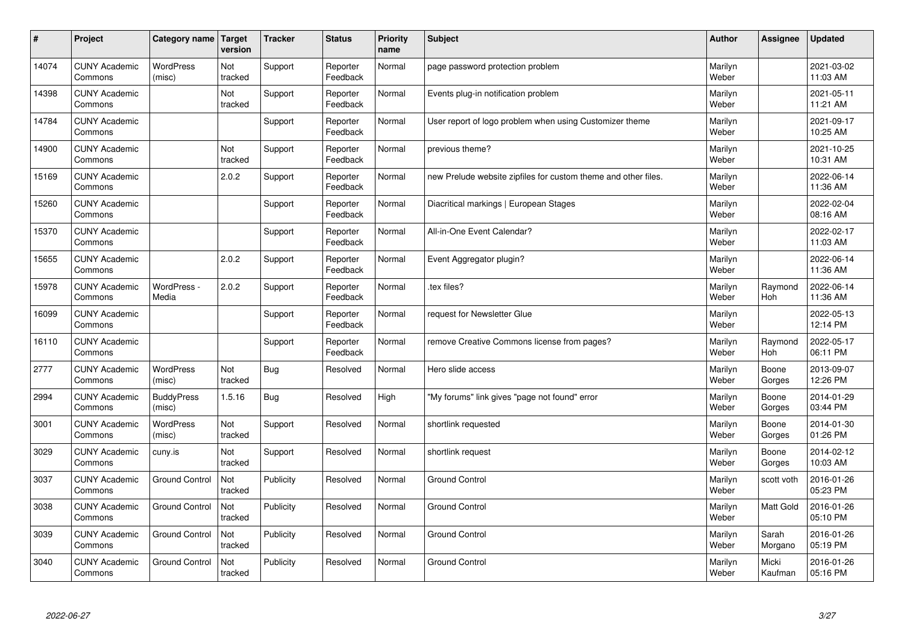| #     | Project                         | Category name               | Target<br>version | <b>Tracker</b> | <b>Status</b>        | <b>Priority</b><br>name | <b>Subject</b>                                                 | <b>Author</b>    | Assignee              | <b>Updated</b>         |
|-------|---------------------------------|-----------------------------|-------------------|----------------|----------------------|-------------------------|----------------------------------------------------------------|------------------|-----------------------|------------------------|
| 14074 | <b>CUNY Academic</b><br>Commons | <b>WordPress</b><br>(misc)  | Not<br>tracked    | Support        | Reporter<br>Feedback | Normal                  | page password protection problem                               | Marilyn<br>Weber |                       | 2021-03-02<br>11:03 AM |
| 14398 | <b>CUNY Academic</b><br>Commons |                             | Not<br>tracked    | Support        | Reporter<br>Feedback | Normal                  | Events plug-in notification problem                            | Marilyn<br>Weber |                       | 2021-05-11<br>11:21 AM |
| 14784 | <b>CUNY Academic</b><br>Commons |                             |                   | Support        | Reporter<br>Feedback | Normal                  | User report of logo problem when using Customizer theme        | Marilyn<br>Weber |                       | 2021-09-17<br>10:25 AM |
| 14900 | <b>CUNY Academic</b><br>Commons |                             | Not<br>tracked    | Support        | Reporter<br>Feedback | Normal                  | previous theme?                                                | Marilyn<br>Weber |                       | 2021-10-25<br>10:31 AM |
| 15169 | <b>CUNY Academic</b><br>Commons |                             | 2.0.2             | Support        | Reporter<br>Feedback | Normal                  | new Prelude website zipfiles for custom theme and other files. | Marilyn<br>Weber |                       | 2022-06-14<br>11:36 AM |
| 15260 | <b>CUNY Academic</b><br>Commons |                             |                   | Support        | Reporter<br>Feedback | Normal                  | Diacritical markings   European Stages                         | Marilyn<br>Weber |                       | 2022-02-04<br>08:16 AM |
| 15370 | <b>CUNY Academic</b><br>Commons |                             |                   | Support        | Reporter<br>Feedback | Normal                  | All-in-One Event Calendar?                                     | Marilyn<br>Weber |                       | 2022-02-17<br>11:03 AM |
| 15655 | <b>CUNY Academic</b><br>Commons |                             | 2.0.2             | Support        | Reporter<br>Feedback | Normal                  | Event Aggregator plugin?                                       | Marilyn<br>Weber |                       | 2022-06-14<br>11:36 AM |
| 15978 | <b>CUNY Academic</b><br>Commons | WordPress -<br>Media        | 2.0.2             | Support        | Reporter<br>Feedback | Normal                  | .tex files?                                                    | Marilyn<br>Weber | Raymond<br><b>Hoh</b> | 2022-06-14<br>11:36 AM |
| 16099 | <b>CUNY Academic</b><br>Commons |                             |                   | Support        | Reporter<br>Feedback | Normal                  | request for Newsletter Glue                                    | Marilyn<br>Weber |                       | 2022-05-13<br>12:14 PM |
| 16110 | <b>CUNY Academic</b><br>Commons |                             |                   | Support        | Reporter<br>Feedback | Normal                  | remove Creative Commons license from pages?                    | Marilyn<br>Weber | Raymond<br>Hoh        | 2022-05-17<br>06:11 PM |
| 2777  | <b>CUNY Academic</b><br>Commons | <b>WordPress</b><br>(misc)  | Not<br>tracked    | Bug            | Resolved             | Normal                  | Hero slide access                                              | Marilyn<br>Weber | Boone<br>Gorges       | 2013-09-07<br>12:26 PM |
| 2994  | <b>CUNY Academic</b><br>Commons | <b>BuddyPress</b><br>(misc) | 1.5.16            | Bug            | Resolved             | High                    | "My forums" link gives "page not found" error                  | Marilyn<br>Weber | Boone<br>Gorges       | 2014-01-29<br>03:44 PM |
| 3001  | <b>CUNY Academic</b><br>Commons | WordPress<br>(misc)         | Not<br>tracked    | Support        | Resolved             | Normal                  | shortlink requested                                            | Marilyn<br>Weber | Boone<br>Gorges       | 2014-01-30<br>01:26 PM |
| 3029  | <b>CUNY Academic</b><br>Commons | cuny.is                     | Not<br>tracked    | Support        | Resolved             | Normal                  | shortlink request                                              | Marilyn<br>Weber | Boone<br>Gorges       | 2014-02-12<br>10:03 AM |
| 3037  | <b>CUNY Academic</b><br>Commons | <b>Ground Control</b>       | Not<br>tracked    | Publicity      | Resolved             | Normal                  | <b>Ground Control</b>                                          | Marilyn<br>Weber | scott voth            | 2016-01-26<br>05:23 PM |
| 3038  | <b>CUNY Academic</b><br>Commons | <b>Ground Control</b>       | Not<br>tracked    | Publicity      | Resolved             | Normal                  | <b>Ground Control</b>                                          | Marilyn<br>Weber | Matt Gold             | 2016-01-26<br>05:10 PM |
| 3039  | <b>CUNY Academic</b><br>Commons | <b>Ground Control</b>       | Not<br>tracked    | Publicity      | Resolved             | Normal                  | <b>Ground Control</b>                                          | Marilyn<br>Weber | Sarah<br>Morgano      | 2016-01-26<br>05:19 PM |
| 3040  | <b>CUNY Academic</b><br>Commons | <b>Ground Control</b>       | Not<br>tracked    | Publicity      | Resolved             | Normal                  | <b>Ground Control</b>                                          | Marilyn<br>Weber | Micki<br>Kaufman      | 2016-01-26<br>05:16 PM |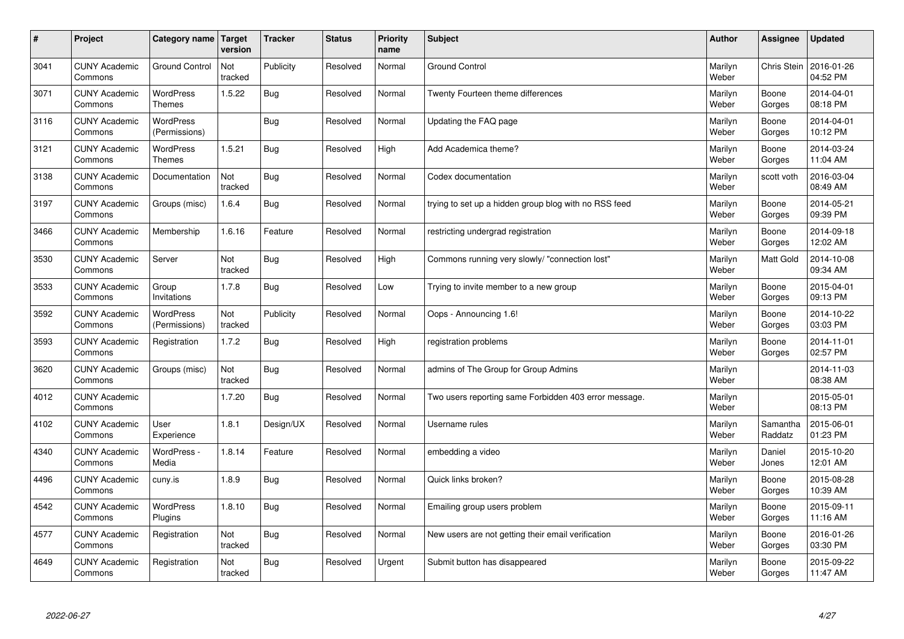| $\sharp$ | Project                         | Category name   Target            | version        | <b>Tracker</b> | <b>Status</b> | <b>Priority</b><br>name | <b>Subject</b>                                        | <b>Author</b>    | Assignee            | <b>Updated</b>         |
|----------|---------------------------------|-----------------------------------|----------------|----------------|---------------|-------------------------|-------------------------------------------------------|------------------|---------------------|------------------------|
| 3041     | <b>CUNY Academic</b><br>Commons | <b>Ground Control</b>             | Not<br>tracked | Publicity      | Resolved      | Normal                  | <b>Ground Control</b>                                 | Marilyn<br>Weber | Chris Stein         | 2016-01-26<br>04:52 PM |
| 3071     | <b>CUNY Academic</b><br>Commons | <b>WordPress</b><br>Themes        | 1.5.22         | <b>Bug</b>     | Resolved      | Normal                  | Twenty Fourteen theme differences                     | Marilyn<br>Weber | Boone<br>Gorges     | 2014-04-01<br>08:18 PM |
| 3116     | <b>CUNY Academic</b><br>Commons | <b>WordPress</b><br>(Permissions) |                | Bug            | Resolved      | Normal                  | Updating the FAQ page                                 | Marilyn<br>Weber | Boone<br>Gorges     | 2014-04-01<br>10:12 PM |
| 3121     | <b>CUNY Academic</b><br>Commons | <b>WordPress</b><br><b>Themes</b> | 1.5.21         | Bug            | Resolved      | High                    | Add Academica theme?                                  | Marilyn<br>Weber | Boone<br>Gorges     | 2014-03-24<br>11:04 AM |
| 3138     | <b>CUNY Academic</b><br>Commons | Documentation                     | Not<br>tracked | Bug            | Resolved      | Normal                  | Codex documentation                                   | Marilyn<br>Weber | scott voth          | 2016-03-04<br>08:49 AM |
| 3197     | <b>CUNY Academic</b><br>Commons | Groups (misc)                     | 1.6.4          | Bug            | Resolved      | Normal                  | trying to set up a hidden group blog with no RSS feed | Marilyn<br>Weber | Boone<br>Gorges     | 2014-05-21<br>09:39 PM |
| 3466     | <b>CUNY Academic</b><br>Commons | Membership                        | 1.6.16         | Feature        | Resolved      | Normal                  | restricting undergrad registration                    | Marilyn<br>Weber | Boone<br>Gorges     | 2014-09-18<br>12:02 AM |
| 3530     | <b>CUNY Academic</b><br>Commons | Server                            | Not<br>tracked | Bug            | Resolved      | High                    | Commons running very slowly/ "connection lost"        | Marilyn<br>Weber | <b>Matt Gold</b>    | 2014-10-08<br>09:34 AM |
| 3533     | <b>CUNY Academic</b><br>Commons | Group<br>Invitations              | 1.7.8          | Bug            | Resolved      | Low                     | Trying to invite member to a new group                | Marilyn<br>Weber | Boone<br>Gorges     | 2015-04-01<br>09:13 PM |
| 3592     | <b>CUNY Academic</b><br>Commons | <b>WordPress</b><br>(Permissions) | Not<br>tracked | Publicity      | Resolved      | Normal                  | Oops - Announcing 1.6!                                | Marilyn<br>Weber | Boone<br>Gorges     | 2014-10-22<br>03:03 PM |
| 3593     | <b>CUNY Academic</b><br>Commons | Registration                      | 1.7.2          | Bug            | Resolved      | High                    | registration problems                                 | Marilyn<br>Weber | Boone<br>Gorges     | 2014-11-01<br>02:57 PM |
| 3620     | <b>CUNY Academic</b><br>Commons | Groups (misc)                     | Not<br>tracked | Bug            | Resolved      | Normal                  | admins of The Group for Group Admins                  | Marilyn<br>Weber |                     | 2014-11-03<br>08:38 AM |
| 4012     | <b>CUNY Academic</b><br>Commons |                                   | 1.7.20         | Bug            | Resolved      | Normal                  | Two users reporting same Forbidden 403 error message. | Marilyn<br>Weber |                     | 2015-05-01<br>08:13 PM |
| 4102     | <b>CUNY Academic</b><br>Commons | User<br>Experience                | 1.8.1          | Design/UX      | Resolved      | Normal                  | Username rules                                        | Marilyn<br>Weber | Samantha<br>Raddatz | 2015-06-01<br>01:23 PM |
| 4340     | <b>CUNY Academic</b><br>Commons | WordPress -<br>Media              | 1.8.14         | Feature        | Resolved      | Normal                  | embedding a video                                     | Marilyn<br>Weber | Daniel<br>Jones     | 2015-10-20<br>12:01 AM |
| 4496     | <b>CUNY Academic</b><br>Commons | cuny.is                           | 1.8.9          | Bug            | Resolved      | Normal                  | Quick links broken?                                   | Marilyn<br>Weber | Boone<br>Gorges     | 2015-08-28<br>10:39 AM |
| 4542     | <b>CUNY Academic</b><br>Commons | WordPress<br>Plugins              | 1.8.10         | Bug            | Resolved      | Normal                  | Emailing group users problem                          | Marilyn<br>Weber | Boone<br>Gorges     | 2015-09-11<br>11:16 AM |
| 4577     | <b>CUNY Academic</b><br>Commons | Registration                      | Not<br>tracked | Bug            | Resolved      | Normal                  | New users are not getting their email verification    | Marilyn<br>Weber | Boone<br>Gorges     | 2016-01-26<br>03:30 PM |
| 4649     | <b>CUNY Academic</b><br>Commons | Registration                      | Not<br>tracked | Bug            | Resolved      | Urgent                  | Submit button has disappeared                         | Marilyn<br>Weber | Boone<br>Gorges     | 2015-09-22<br>11:47 AM |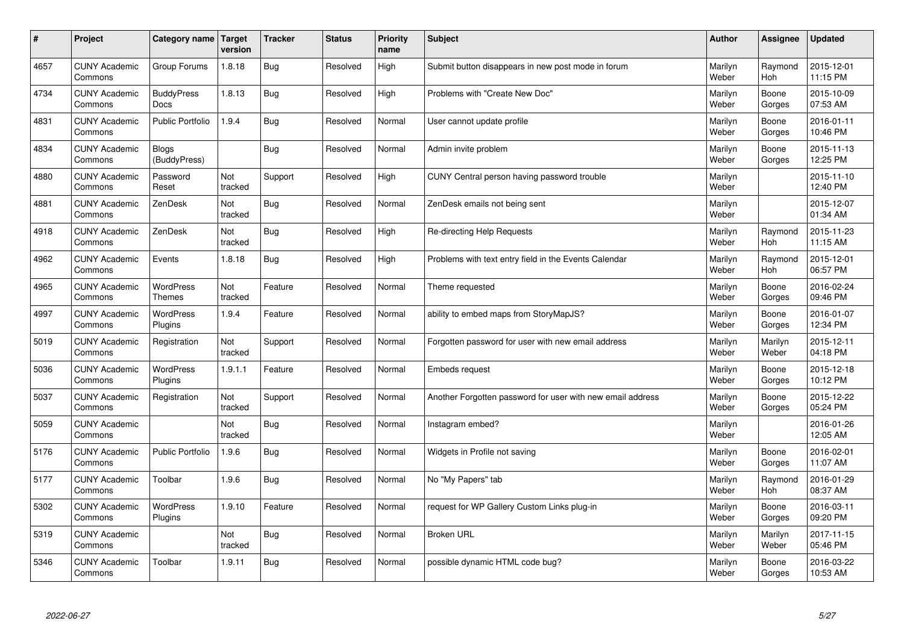| $\pmb{\#}$ | Project                         | Category name                | <b>Target</b><br>version | <b>Tracker</b> | <b>Status</b> | <b>Priority</b><br>name | <b>Subject</b>                                             | <b>Author</b>    | Assignee              | <b>Updated</b>         |
|------------|---------------------------------|------------------------------|--------------------------|----------------|---------------|-------------------------|------------------------------------------------------------|------------------|-----------------------|------------------------|
| 4657       | <b>CUNY Academic</b><br>Commons | Group Forums                 | 1.8.18                   | Bug            | Resolved      | High                    | Submit button disappears in new post mode in forum         | Marilyn<br>Weber | Raymond<br><b>Hoh</b> | 2015-12-01<br>11:15 PM |
| 4734       | <b>CUNY Academic</b><br>Commons | <b>BuddyPress</b><br>Docs    | 1.8.13                   | <b>Bug</b>     | Resolved      | High                    | Problems with "Create New Doc"                             | Marilyn<br>Weber | Boone<br>Gorges       | 2015-10-09<br>07:53 AM |
| 4831       | <b>CUNY Academic</b><br>Commons | <b>Public Portfolio</b>      | 1.9.4                    | <b>Bug</b>     | Resolved      | Normal                  | User cannot update profile                                 | Marilyn<br>Weber | Boone<br>Gorges       | 2016-01-11<br>10:46 PM |
| 4834       | <b>CUNY Academic</b><br>Commons | <b>Blogs</b><br>(BuddyPress) |                          | <b>Bug</b>     | Resolved      | Normal                  | Admin invite problem                                       | Marilyn<br>Weber | Boone<br>Gorges       | 2015-11-13<br>12:25 PM |
| 4880       | <b>CUNY Academic</b><br>Commons | Password<br>Reset            | Not<br>tracked           | Support        | Resolved      | High                    | CUNY Central person having password trouble                | Marilyn<br>Weber |                       | 2015-11-10<br>12:40 PM |
| 4881       | <b>CUNY Academic</b><br>Commons | ZenDesk                      | Not<br>tracked           | <b>Bug</b>     | Resolved      | Normal                  | ZenDesk emails not being sent                              | Marilyn<br>Weber |                       | 2015-12-07<br>01:34 AM |
| 4918       | <b>CUNY Academic</b><br>Commons | ZenDesk                      | Not<br>tracked           | <b>Bug</b>     | Resolved      | High                    | Re-directing Help Requests                                 | Marilyn<br>Weber | Raymond<br><b>Hoh</b> | 2015-11-23<br>11:15 AM |
| 4962       | <b>CUNY Academic</b><br>Commons | Events                       | 1.8.18                   | <b>Bug</b>     | Resolved      | High                    | Problems with text entry field in the Events Calendar      | Marilyn<br>Weber | Raymond<br>Hoh        | 2015-12-01<br>06:57 PM |
| 4965       | <b>CUNY Academic</b><br>Commons | WordPress<br>Themes          | Not<br>tracked           | Feature        | Resolved      | Normal                  | Theme requested                                            | Marilyn<br>Weber | Boone<br>Gorges       | 2016-02-24<br>09:46 PM |
| 4997       | <b>CUNY Academic</b><br>Commons | <b>WordPress</b><br>Plugins  | 1.9.4                    | Feature        | Resolved      | Normal                  | ability to embed maps from StoryMapJS?                     | Marilyn<br>Weber | Boone<br>Gorges       | 2016-01-07<br>12:34 PM |
| 5019       | <b>CUNY Academic</b><br>Commons | Registration                 | Not<br>tracked           | Support        | Resolved      | Normal                  | Forgotten password for user with new email address         | Marilyn<br>Weber | Marilyn<br>Weber      | 2015-12-11<br>04:18 PM |
| 5036       | <b>CUNY Academic</b><br>Commons | <b>WordPress</b><br>Plugins  | 1.9.1.1                  | Feature        | Resolved      | Normal                  | Embeds request                                             | Marilyn<br>Weber | Boone<br>Gorges       | 2015-12-18<br>10:12 PM |
| 5037       | <b>CUNY Academic</b><br>Commons | Registration                 | Not<br>tracked           | Support        | Resolved      | Normal                  | Another Forgotten password for user with new email address | Marilyn<br>Weber | Boone<br>Gorges       | 2015-12-22<br>05:24 PM |
| 5059       | <b>CUNY Academic</b><br>Commons |                              | Not<br>tracked           | Bug            | Resolved      | Normal                  | Instagram embed?                                           | Marilyn<br>Weber |                       | 2016-01-26<br>12:05 AM |
| 5176       | <b>CUNY Academic</b><br>Commons | <b>Public Portfolio</b>      | 1.9.6                    | Bug            | Resolved      | Normal                  | Widgets in Profile not saving                              | Marilyn<br>Weber | Boone<br>Gorges       | 2016-02-01<br>11:07 AM |
| 5177       | <b>CUNY Academic</b><br>Commons | Toolbar                      | 1.9.6                    | <b>Bug</b>     | Resolved      | Normal                  | No "My Papers" tab                                         | Marilyn<br>Weber | Raymond<br><b>Hoh</b> | 2016-01-29<br>08:37 AM |
| 5302       | <b>CUNY Academic</b><br>Commons | <b>WordPress</b><br>Plugins  | 1.9.10                   | Feature        | Resolved      | Normal                  | request for WP Gallery Custom Links plug-in                | Marilyn<br>Weber | Boone<br>Gorges       | 2016-03-11<br>09:20 PM |
| 5319       | <b>CUNY Academic</b><br>Commons |                              | Not<br>tracked           | Bug            | Resolved      | Normal                  | <b>Broken URL</b>                                          | Marilyn<br>Weber | Marilyn<br>Weber      | 2017-11-15<br>05:46 PM |
| 5346       | <b>CUNY Academic</b><br>Commons | Toolbar                      | 1.9.11                   | <b>Bug</b>     | Resolved      | Normal                  | possible dynamic HTML code bug?                            | Marilyn<br>Weber | Boone<br>Gorges       | 2016-03-22<br>10:53 AM |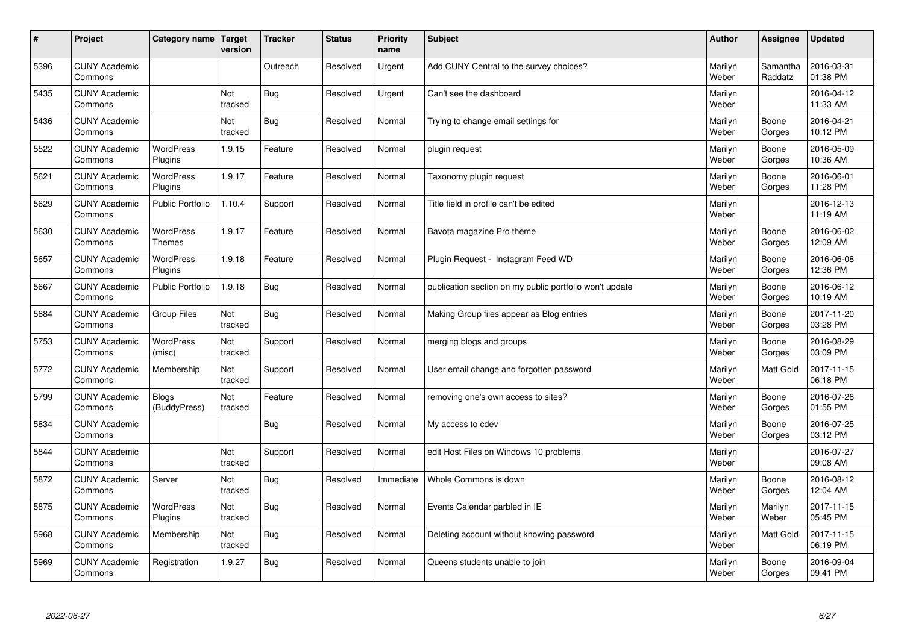| $\sharp$ | Project                         | Category name                     | Target<br>version | <b>Tracker</b> | <b>Status</b> | <b>Priority</b><br>name | <b>Subject</b>                                          | <b>Author</b>    | Assignee            | <b>Updated</b>         |
|----------|---------------------------------|-----------------------------------|-------------------|----------------|---------------|-------------------------|---------------------------------------------------------|------------------|---------------------|------------------------|
| 5396     | <b>CUNY Academic</b><br>Commons |                                   |                   | Outreach       | Resolved      | Urgent                  | Add CUNY Central to the survey choices?                 | Marilyn<br>Weber | Samantha<br>Raddatz | 2016-03-31<br>01:38 PM |
| 5435     | <b>CUNY Academic</b><br>Commons |                                   | Not<br>tracked    | Bug            | Resolved      | Urgent                  | Can't see the dashboard                                 | Marilyn<br>Weber |                     | 2016-04-12<br>11:33 AM |
| 5436     | <b>CUNY Academic</b><br>Commons |                                   | Not<br>tracked    | Bug            | Resolved      | Normal                  | Trying to change email settings for                     | Marilyn<br>Weber | Boone<br>Gorges     | 2016-04-21<br>10:12 PM |
| 5522     | <b>CUNY Academic</b><br>Commons | <b>WordPress</b><br>Plugins       | 1.9.15            | Feature        | Resolved      | Normal                  | plugin request                                          | Marilyn<br>Weber | Boone<br>Gorges     | 2016-05-09<br>10:36 AM |
| 5621     | <b>CUNY Academic</b><br>Commons | <b>WordPress</b><br>Plugins       | 1.9.17            | Feature        | Resolved      | Normal                  | Taxonomy plugin request                                 | Marilyn<br>Weber | Boone<br>Gorges     | 2016-06-01<br>11:28 PM |
| 5629     | <b>CUNY Academic</b><br>Commons | Public Portfolio                  | 1.10.4            | Support        | Resolved      | Normal                  | Title field in profile can't be edited                  | Marilyn<br>Weber |                     | 2016-12-13<br>11:19 AM |
| 5630     | <b>CUNY Academic</b><br>Commons | <b>WordPress</b><br><b>Themes</b> | 1.9.17            | Feature        | Resolved      | Normal                  | Bavota magazine Pro theme                               | Marilyn<br>Weber | Boone<br>Gorges     | 2016-06-02<br>12:09 AM |
| 5657     | <b>CUNY Academic</b><br>Commons | WordPress<br>Plugins              | 1.9.18            | Feature        | Resolved      | Normal                  | Plugin Reguest - Instagram Feed WD                      | Marilyn<br>Weber | Boone<br>Gorges     | 2016-06-08<br>12:36 PM |
| 5667     | <b>CUNY Academic</b><br>Commons | <b>Public Portfolio</b>           | 1.9.18            | Bug            | Resolved      | Normal                  | publication section on my public portfolio won't update | Marilyn<br>Weber | Boone<br>Gorges     | 2016-06-12<br>10:19 AM |
| 5684     | <b>CUNY Academic</b><br>Commons | Group Files                       | Not<br>tracked    | Bug            | Resolved      | Normal                  | Making Group files appear as Blog entries               | Marilyn<br>Weber | Boone<br>Gorges     | 2017-11-20<br>03:28 PM |
| 5753     | <b>CUNY Academic</b><br>Commons | WordPress<br>(misc)               | Not<br>tracked    | Support        | Resolved      | Normal                  | merging blogs and groups                                | Marilyn<br>Weber | Boone<br>Gorges     | 2016-08-29<br>03:09 PM |
| 5772     | <b>CUNY Academic</b><br>Commons | Membership                        | Not<br>tracked    | Support        | Resolved      | Normal                  | User email change and forgotten password                | Marilyn<br>Weber | <b>Matt Gold</b>    | 2017-11-15<br>06:18 PM |
| 5799     | <b>CUNY Academic</b><br>Commons | <b>Blogs</b><br>(BuddyPress)      | Not<br>tracked    | Feature        | Resolved      | Normal                  | removing one's own access to sites?                     | Marilyn<br>Weber | Boone<br>Gorges     | 2016-07-26<br>01:55 PM |
| 5834     | <b>CUNY Academic</b><br>Commons |                                   |                   | Bug            | Resolved      | Normal                  | My access to cdev                                       | Marilyn<br>Weber | Boone<br>Gorges     | 2016-07-25<br>03:12 PM |
| 5844     | <b>CUNY Academic</b><br>Commons |                                   | Not<br>tracked    | Support        | Resolved      | Normal                  | edit Host Files on Windows 10 problems                  | Marilyn<br>Weber |                     | 2016-07-27<br>09:08 AM |
| 5872     | <b>CUNY Academic</b><br>Commons | Server                            | Not<br>tracked    | Bug            | Resolved      | Immediate               | Whole Commons is down                                   | Marilyn<br>Weber | Boone<br>Gorges     | 2016-08-12<br>12:04 AM |
| 5875     | <b>CUNY Academic</b><br>Commons | WordPress<br>Plugins              | Not<br>tracked    | Bug            | Resolved      | Normal                  | Events Calendar garbled in IE                           | Marilyn<br>Weber | Marilyn<br>Weber    | 2017-11-15<br>05:45 PM |
| 5968     | <b>CUNY Academic</b><br>Commons | Membership                        | Not<br>tracked    | Bug            | Resolved      | Normal                  | Deleting account without knowing password               | Marilyn<br>Weber | <b>Matt Gold</b>    | 2017-11-15<br>06:19 PM |
| 5969     | <b>CUNY Academic</b><br>Commons | Registration                      | 1.9.27            | Bug            | Resolved      | Normal                  | Queens students unable to join                          | Marilyn<br>Weber | Boone<br>Gorges     | 2016-09-04<br>09:41 PM |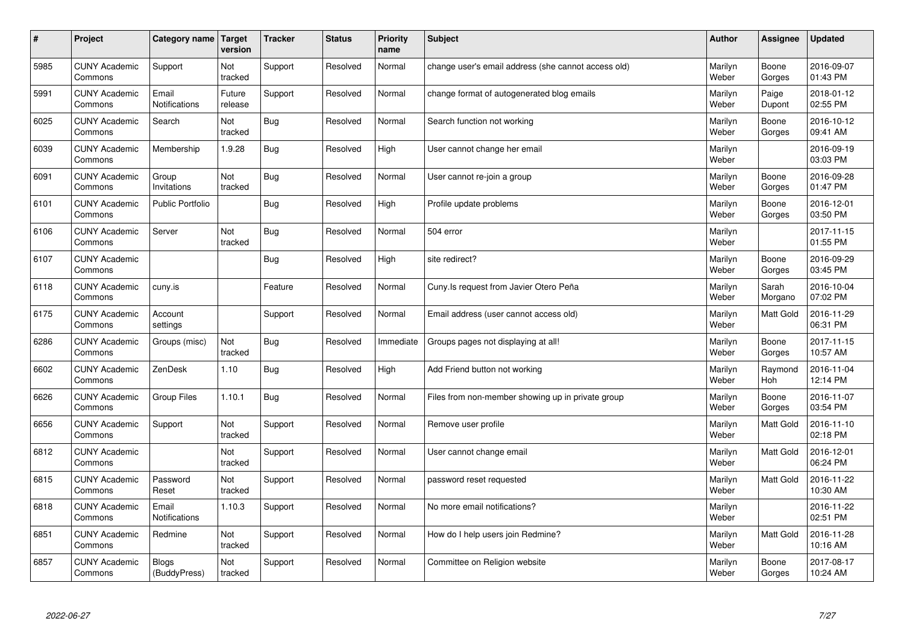| $\vert$ # | Project                         | Category name                 | Target<br>version | <b>Tracker</b> | <b>Status</b> | <b>Priority</b><br>name | <b>Subject</b>                                      | <b>Author</b>    | Assignee              | <b>Updated</b>         |
|-----------|---------------------------------|-------------------------------|-------------------|----------------|---------------|-------------------------|-----------------------------------------------------|------------------|-----------------------|------------------------|
| 5985      | <b>CUNY Academic</b><br>Commons | Support                       | Not<br>tracked    | Support        | Resolved      | Normal                  | change user's email address (she cannot access old) | Marilyn<br>Weber | Boone<br>Gorges       | 2016-09-07<br>01:43 PM |
| 5991      | <b>CUNY Academic</b><br>Commons | Email<br><b>Notifications</b> | Future<br>release | Support        | Resolved      | Normal                  | change format of autogenerated blog emails          | Marilyn<br>Weber | Paige<br>Dupont       | 2018-01-12<br>02:55 PM |
| 6025      | <b>CUNY Academic</b><br>Commons | Search                        | Not<br>tracked    | <b>Bug</b>     | Resolved      | Normal                  | Search function not working                         | Marilyn<br>Weber | Boone<br>Gorges       | 2016-10-12<br>09:41 AM |
| 6039      | <b>CUNY Academic</b><br>Commons | Membership                    | 1.9.28            | <b>Bug</b>     | Resolved      | High                    | User cannot change her email                        | Marilyn<br>Weber |                       | 2016-09-19<br>03:03 PM |
| 6091      | <b>CUNY Academic</b><br>Commons | Group<br>Invitations          | Not<br>tracked    | Bug            | Resolved      | Normal                  | User cannot re-join a group                         | Marilyn<br>Weber | Boone<br>Gorges       | 2016-09-28<br>01:47 PM |
| 6101      | <b>CUNY Academic</b><br>Commons | <b>Public Portfolio</b>       |                   | Bug            | Resolved      | High                    | Profile update problems                             | Marilyn<br>Weber | Boone<br>Gorges       | 2016-12-01<br>03:50 PM |
| 6106      | <b>CUNY Academic</b><br>Commons | Server                        | Not<br>tracked    | Bug            | Resolved      | Normal                  | 504 error                                           | Marilyn<br>Weber |                       | 2017-11-15<br>01:55 PM |
| 6107      | <b>CUNY Academic</b><br>Commons |                               |                   | <b>Bug</b>     | Resolved      | High                    | site redirect?                                      | Marilyn<br>Weber | Boone<br>Gorges       | 2016-09-29<br>03:45 PM |
| 6118      | <b>CUNY Academic</b><br>Commons | cuny.is                       |                   | Feature        | Resolved      | Normal                  | Cuny. Is request from Javier Otero Peña             | Marilyn<br>Weber | Sarah<br>Morgano      | 2016-10-04<br>07:02 PM |
| 6175      | <b>CUNY Academic</b><br>Commons | Account<br>settings           |                   | Support        | Resolved      | Normal                  | Email address (user cannot access old)              | Marilyn<br>Weber | <b>Matt Gold</b>      | 2016-11-29<br>06:31 PM |
| 6286      | <b>CUNY Academic</b><br>Commons | Groups (misc)                 | Not<br>tracked    | Bug            | Resolved      | Immediate               | Groups pages not displaying at all!                 | Marilyn<br>Weber | Boone<br>Gorges       | 2017-11-15<br>10:57 AM |
| 6602      | <b>CUNY Academic</b><br>Commons | ZenDesk                       | 1.10              | <b>Bug</b>     | Resolved      | High                    | Add Friend button not working                       | Marilyn<br>Weber | Raymond<br><b>Hoh</b> | 2016-11-04<br>12:14 PM |
| 6626      | <b>CUNY Academic</b><br>Commons | <b>Group Files</b>            | 1.10.1            | <b>Bug</b>     | Resolved      | Normal                  | Files from non-member showing up in private group   | Marilyn<br>Weber | Boone<br>Gorges       | 2016-11-07<br>03:54 PM |
| 6656      | <b>CUNY Academic</b><br>Commons | Support                       | Not<br>tracked    | Support        | Resolved      | Normal                  | Remove user profile                                 | Marilyn<br>Weber | Matt Gold             | 2016-11-10<br>02:18 PM |
| 6812      | <b>CUNY Academic</b><br>Commons |                               | Not<br>tracked    | Support        | Resolved      | Normal                  | User cannot change email                            | Marilyn<br>Weber | Matt Gold             | 2016-12-01<br>06:24 PM |
| 6815      | <b>CUNY Academic</b><br>Commons | Password<br>Reset             | Not<br>tracked    | Support        | Resolved      | Normal                  | password reset requested                            | Marilyn<br>Weber | <b>Matt Gold</b>      | 2016-11-22<br>10:30 AM |
| 6818      | <b>CUNY Academic</b><br>Commons | Email<br><b>Notifications</b> | 1.10.3            | Support        | Resolved      | Normal                  | No more email notifications?                        | Marilyn<br>Weber |                       | 2016-11-22<br>02:51 PM |
| 6851      | <b>CUNY Academic</b><br>Commons | Redmine                       | Not<br>tracked    | Support        | Resolved      | Normal                  | How do I help users join Redmine?                   | Marilyn<br>Weber | Matt Gold             | 2016-11-28<br>10:16 AM |
| 6857      | <b>CUNY Academic</b><br>Commons | <b>Blogs</b><br>(BuddyPress)  | Not<br>tracked    | Support        | Resolved      | Normal                  | Committee on Religion website                       | Marilyn<br>Weber | Boone<br>Gorges       | 2017-08-17<br>10:24 AM |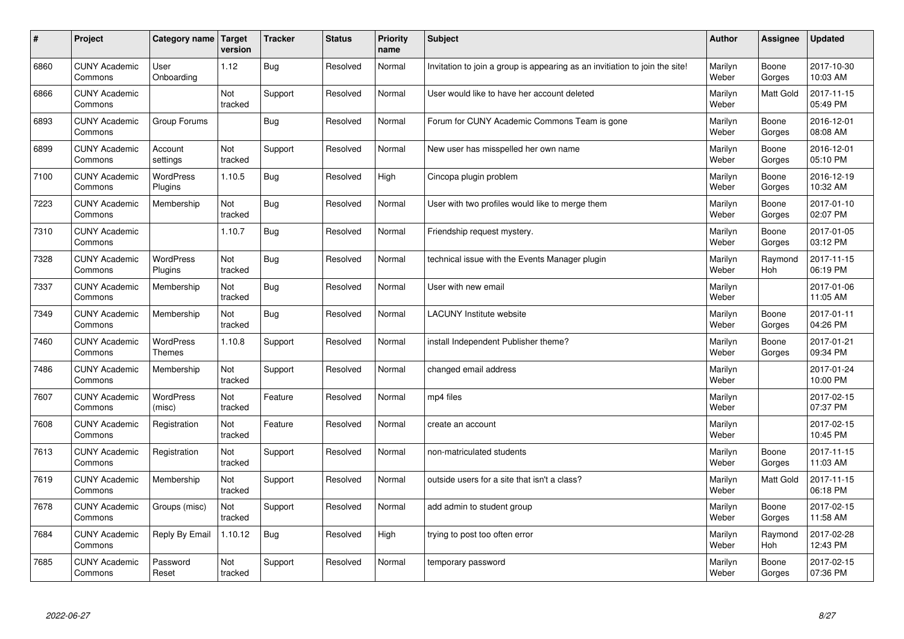| #    | Project                         | Category name               | Target<br>version | <b>Tracker</b> | <b>Status</b> | <b>Priority</b><br>name | <b>Subject</b>                                                              | <b>Author</b>    | Assignee         | <b>Updated</b>         |
|------|---------------------------------|-----------------------------|-------------------|----------------|---------------|-------------------------|-----------------------------------------------------------------------------|------------------|------------------|------------------------|
| 6860 | <b>CUNY Academic</b><br>Commons | User<br>Onboarding          | 1.12              | Bug            | Resolved      | Normal                  | Invitation to join a group is appearing as an invitiation to join the site! | Marilyn<br>Weber | Boone<br>Gorges  | 2017-10-30<br>10:03 AM |
| 6866 | <b>CUNY Academic</b><br>Commons |                             | Not<br>tracked    | Support        | Resolved      | Normal                  | User would like to have her account deleted                                 | Marilyn<br>Weber | <b>Matt Gold</b> | 2017-11-15<br>05:49 PM |
| 6893 | <b>CUNY Academic</b><br>Commons | Group Forums                |                   | <b>Bug</b>     | Resolved      | Normal                  | Forum for CUNY Academic Commons Team is gone                                | Marilyn<br>Weber | Boone<br>Gorges  | 2016-12-01<br>08:08 AM |
| 6899 | <b>CUNY Academic</b><br>Commons | Account<br>settings         | Not<br>tracked    | Support        | Resolved      | Normal                  | New user has misspelled her own name                                        | Marilyn<br>Weber | Boone<br>Gorges  | 2016-12-01<br>05:10 PM |
| 7100 | <b>CUNY Academic</b><br>Commons | <b>WordPress</b><br>Plugins | 1.10.5            | <b>Bug</b>     | Resolved      | High                    | Cincopa plugin problem                                                      | Marilyn<br>Weber | Boone<br>Gorges  | 2016-12-19<br>10:32 AM |
| 7223 | <b>CUNY Academic</b><br>Commons | Membership                  | Not<br>tracked    | <b>Bug</b>     | Resolved      | Normal                  | User with two profiles would like to merge them                             | Marilyn<br>Weber | Boone<br>Gorges  | 2017-01-10<br>02:07 PM |
| 7310 | <b>CUNY Academic</b><br>Commons |                             | 1.10.7            | <b>Bug</b>     | Resolved      | Normal                  | Friendship request mystery.                                                 | Marilyn<br>Weber | Boone<br>Gorges  | 2017-01-05<br>03:12 PM |
| 7328 | <b>CUNY Academic</b><br>Commons | <b>WordPress</b><br>Plugins | Not<br>tracked    | Bug            | Resolved      | Normal                  | technical issue with the Events Manager plugin                              | Marilyn<br>Weber | Raymond<br>Hoh   | 2017-11-15<br>06:19 PM |
| 7337 | <b>CUNY Academic</b><br>Commons | Membership                  | Not<br>tracked    | Bug            | Resolved      | Normal                  | User with new email                                                         | Marilyn<br>Weber |                  | 2017-01-06<br>11:05 AM |
| 7349 | <b>CUNY Academic</b><br>Commons | Membership                  | Not<br>tracked    | <b>Bug</b>     | Resolved      | Normal                  | LACUNY Institute website                                                    | Marilyn<br>Weber | Boone<br>Gorges  | 2017-01-11<br>04:26 PM |
| 7460 | <b>CUNY Academic</b><br>Commons | WordPress<br><b>Themes</b>  | 1.10.8            | Support        | Resolved      | Normal                  | install Independent Publisher theme?                                        | Marilyn<br>Weber | Boone<br>Gorges  | 2017-01-21<br>09:34 PM |
| 7486 | <b>CUNY Academic</b><br>Commons | Membership                  | Not<br>tracked    | Support        | Resolved      | Normal                  | changed email address                                                       | Marilyn<br>Weber |                  | 2017-01-24<br>10:00 PM |
| 7607 | <b>CUNY Academic</b><br>Commons | WordPress<br>(misc)         | Not<br>tracked    | Feature        | Resolved      | Normal                  | mp4 files                                                                   | Marilyn<br>Weber |                  | 2017-02-15<br>07:37 PM |
| 7608 | <b>CUNY Academic</b><br>Commons | Registration                | Not<br>tracked    | Feature        | Resolved      | Normal                  | create an account                                                           | Marilyn<br>Weber |                  | 2017-02-15<br>10:45 PM |
| 7613 | <b>CUNY Academic</b><br>Commons | Registration                | Not<br>tracked    | Support        | Resolved      | Normal                  | non-matriculated students                                                   | Marilyn<br>Weber | Boone<br>Gorges  | 2017-11-15<br>11:03 AM |
| 7619 | <b>CUNY Academic</b><br>Commons | Membership                  | Not<br>tracked    | Support        | Resolved      | Normal                  | outside users for a site that isn't a class?                                | Marilyn<br>Weber | Matt Gold        | 2017-11-15<br>06:18 PM |
| 7678 | <b>CUNY Academic</b><br>Commons | Groups (misc)               | Not<br>tracked    | Support        | Resolved      | Normal                  | add admin to student group                                                  | Marilyn<br>Weber | Boone<br>Gorges  | 2017-02-15<br>11:58 AM |
| 7684 | <b>CUNY Academic</b><br>Commons | Reply By Email              | 1.10.12           | <b>Bug</b>     | Resolved      | High                    | trying to post too often error                                              | Marilyn<br>Weber | Raymond<br>Hoh   | 2017-02-28<br>12:43 PM |
| 7685 | <b>CUNY Academic</b><br>Commons | Password<br>Reset           | Not<br>tracked    | Support        | Resolved      | Normal                  | temporary password                                                          | Marilyn<br>Weber | Boone<br>Gorges  | 2017-02-15<br>07:36 PM |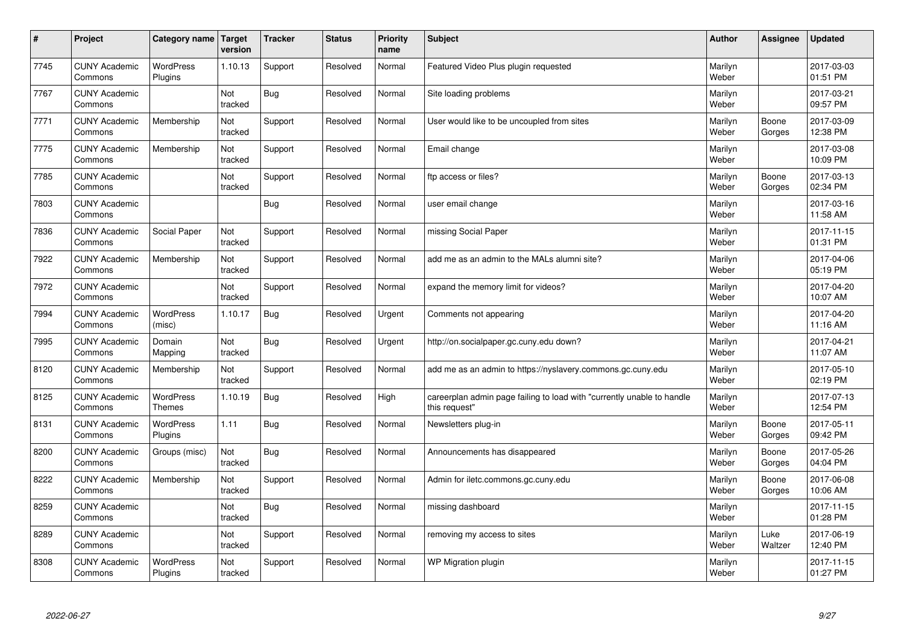| #    | Project                         | Category name                     | Target<br>version | <b>Tracker</b> | <b>Status</b> | <b>Priority</b><br>name | <b>Subject</b>                                                                          | <b>Author</b>    | Assignee        | <b>Updated</b>         |
|------|---------------------------------|-----------------------------------|-------------------|----------------|---------------|-------------------------|-----------------------------------------------------------------------------------------|------------------|-----------------|------------------------|
| 7745 | <b>CUNY Academic</b><br>Commons | <b>WordPress</b><br>Plugins       | 1.10.13           | Support        | Resolved      | Normal                  | Featured Video Plus plugin requested                                                    | Marilyn<br>Weber |                 | 2017-03-03<br>01:51 PM |
| 7767 | <b>CUNY Academic</b><br>Commons |                                   | Not<br>tracked    | Bug            | Resolved      | Normal                  | Site loading problems                                                                   | Marilyn<br>Weber |                 | 2017-03-21<br>09:57 PM |
| 7771 | <b>CUNY Academic</b><br>Commons | Membership                        | Not<br>tracked    | Support        | Resolved      | Normal                  | User would like to be uncoupled from sites                                              | Marilyn<br>Weber | Boone<br>Gorges | 2017-03-09<br>12:38 PM |
| 7775 | <b>CUNY Academic</b><br>Commons | Membership                        | Not<br>tracked    | Support        | Resolved      | Normal                  | Email change                                                                            | Marilyn<br>Weber |                 | 2017-03-08<br>10:09 PM |
| 7785 | <b>CUNY Academic</b><br>Commons |                                   | Not<br>tracked    | Support        | Resolved      | Normal                  | ftp access or files?                                                                    | Marilyn<br>Weber | Boone<br>Gorges | 2017-03-13<br>02:34 PM |
| 7803 | <b>CUNY Academic</b><br>Commons |                                   |                   | Bug            | Resolved      | Normal                  | user email change                                                                       | Marilyn<br>Weber |                 | 2017-03-16<br>11:58 AM |
| 7836 | <b>CUNY Academic</b><br>Commons | Social Paper                      | Not<br>tracked    | Support        | Resolved      | Normal                  | missing Social Paper                                                                    | Marilyn<br>Weber |                 | 2017-11-15<br>01:31 PM |
| 7922 | <b>CUNY Academic</b><br>Commons | Membership                        | Not<br>tracked    | Support        | Resolved      | Normal                  | add me as an admin to the MALs alumni site?                                             | Marilyn<br>Weber |                 | 2017-04-06<br>05:19 PM |
| 7972 | <b>CUNY Academic</b><br>Commons |                                   | Not<br>tracked    | Support        | Resolved      | Normal                  | expand the memory limit for videos?                                                     | Marilyn<br>Weber |                 | 2017-04-20<br>10:07 AM |
| 7994 | <b>CUNY Academic</b><br>Commons | WordPress<br>(misc)               | 1.10.17           | Bug            | Resolved      | Urgent                  | Comments not appearing                                                                  | Marilyn<br>Weber |                 | 2017-04-20<br>11:16 AM |
| 7995 | <b>CUNY Academic</b><br>Commons | Domain<br>Mapping                 | Not<br>tracked    | Bug            | Resolved      | Urgent                  | http://on.socialpaper.gc.cuny.edu down?                                                 | Marilyn<br>Weber |                 | 2017-04-21<br>11:07 AM |
| 8120 | <b>CUNY Academic</b><br>Commons | Membership                        | Not<br>tracked    | Support        | Resolved      | Normal                  | add me as an admin to https://nyslavery.commons.gc.cuny.edu                             | Marilyn<br>Weber |                 | 2017-05-10<br>02:19 PM |
| 8125 | <b>CUNY Academic</b><br>Commons | <b>WordPress</b><br><b>Themes</b> | 1.10.19           | Bug            | Resolved      | High                    | careerplan admin page failing to load with "currently unable to handle<br>this request" | Marilyn<br>Weber |                 | 2017-07-13<br>12:54 PM |
| 8131 | <b>CUNY Academic</b><br>Commons | WordPress<br>Plugins              | 1.11              | <b>Bug</b>     | Resolved      | Normal                  | Newsletters plug-in                                                                     | Marilyn<br>Weber | Boone<br>Gorges | 2017-05-11<br>09:42 PM |
| 8200 | <b>CUNY Academic</b><br>Commons | Groups (misc)                     | Not<br>tracked    | Bug            | Resolved      | Normal                  | Announcements has disappeared                                                           | Marilyn<br>Weber | Boone<br>Gorges | 2017-05-26<br>04:04 PM |
| 8222 | <b>CUNY Academic</b><br>Commons | Membership                        | Not<br>tracked    | Support        | Resolved      | Normal                  | Admin for iletc.commons.gc.cuny.edu                                                     | Marilyn<br>Weber | Boone<br>Gorges | 2017-06-08<br>10:06 AM |
| 8259 | <b>CUNY Academic</b><br>Commons |                                   | Not<br>tracked    | Bug            | Resolved      | Normal                  | missing dashboard                                                                       | Marilyn<br>Weber |                 | 2017-11-15<br>01:28 PM |
| 8289 | <b>CUNY Academic</b><br>Commons |                                   | Not<br>tracked    | Support        | Resolved      | Normal                  | removing my access to sites                                                             | Marilyn<br>Weber | Luke<br>Waltzer | 2017-06-19<br>12:40 PM |
| 8308 | <b>CUNY Academic</b><br>Commons | <b>WordPress</b><br>Plugins       | Not<br>tracked    | Support        | Resolved      | Normal                  | WP Migration plugin                                                                     | Marilyn<br>Weber |                 | 2017-11-15<br>01:27 PM |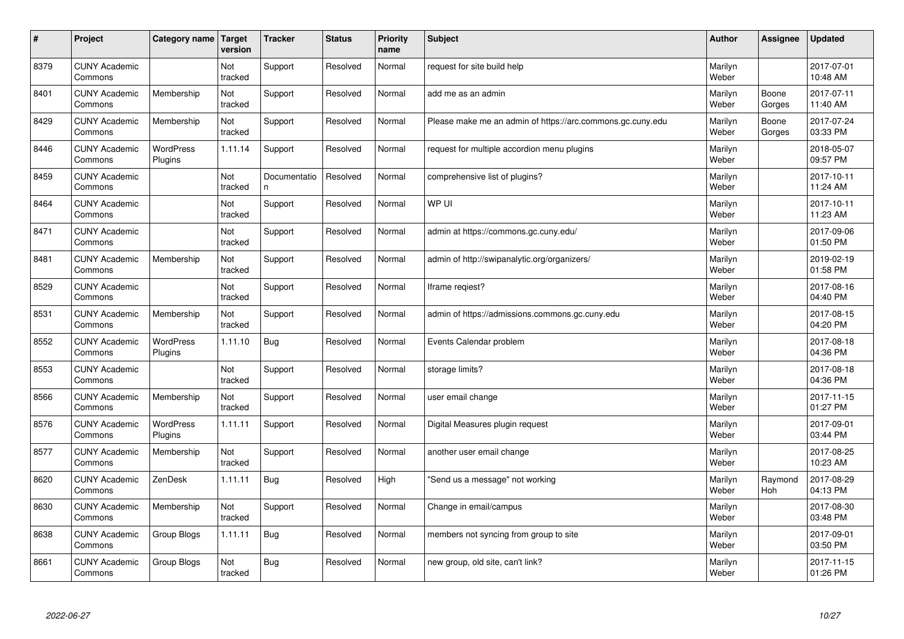| $\vert$ # | Project                         | Category name               | Target<br>version     | <b>Tracker</b>     | <b>Status</b> | <b>Priority</b><br>name | <b>Subject</b>                                             | <b>Author</b>    | Assignee        | <b>Updated</b>         |
|-----------|---------------------------------|-----------------------------|-----------------------|--------------------|---------------|-------------------------|------------------------------------------------------------|------------------|-----------------|------------------------|
| 8379      | <b>CUNY Academic</b><br>Commons |                             | Not<br>tracked        | Support            | Resolved      | Normal                  | request for site build help                                | Marilyn<br>Weber |                 | 2017-07-01<br>10:48 AM |
| 8401      | <b>CUNY Academic</b><br>Commons | Membership                  | Not<br>tracked        | Support            | Resolved      | Normal                  | add me as an admin                                         | Marilyn<br>Weber | Boone<br>Gorges | 2017-07-11<br>11:40 AM |
| 8429      | <b>CUNY Academic</b><br>Commons | Membership                  | Not<br>tracked        | Support            | Resolved      | Normal                  | Please make me an admin of https://arc.commons.gc.cuny.edu | Marilyn<br>Weber | Boone<br>Gorges | 2017-07-24<br>03:33 PM |
| 8446      | <b>CUNY Academic</b><br>Commons | <b>WordPress</b><br>Plugins | 1.11.14               | Support            | Resolved      | Normal                  | request for multiple accordion menu plugins                | Marilyn<br>Weber |                 | 2018-05-07<br>09:57 PM |
| 8459      | <b>CUNY Academic</b><br>Commons |                             | <b>Not</b><br>tracked | Documentatio<br>n. | Resolved      | Normal                  | comprehensive list of plugins?                             | Marilyn<br>Weber |                 | 2017-10-11<br>11:24 AM |
| 8464      | <b>CUNY Academic</b><br>Commons |                             | Not<br>tracked        | Support            | Resolved      | Normal                  | WP UI                                                      | Marilyn<br>Weber |                 | 2017-10-11<br>11:23 AM |
| 8471      | <b>CUNY Academic</b><br>Commons |                             | Not<br>tracked        | Support            | Resolved      | Normal                  | admin at https://commons.gc.cuny.edu/                      | Marilyn<br>Weber |                 | 2017-09-06<br>01:50 PM |
| 8481      | <b>CUNY Academic</b><br>Commons | Membership                  | Not<br>tracked        | Support            | Resolved      | Normal                  | admin of http://swipanalytic.org/organizers/               | Marilyn<br>Weber |                 | 2019-02-19<br>01:58 PM |
| 8529      | <b>CUNY Academic</b><br>Commons |                             | Not<br>tracked        | Support            | Resolved      | Normal                  | Iframe regiest?                                            | Marilyn<br>Weber |                 | 2017-08-16<br>04:40 PM |
| 8531      | <b>CUNY Academic</b><br>Commons | Membership                  | Not<br>tracked        | Support            | Resolved      | Normal                  | admin of https://admissions.commons.gc.cuny.edu            | Marilyn<br>Weber |                 | 2017-08-15<br>04:20 PM |
| 8552      | <b>CUNY Academic</b><br>Commons | WordPress<br>Plugins        | 1.11.10               | <b>Bug</b>         | Resolved      | Normal                  | Events Calendar problem                                    | Marilyn<br>Weber |                 | 2017-08-18<br>04:36 PM |
| 8553      | <b>CUNY Academic</b><br>Commons |                             | Not<br>tracked        | Support            | Resolved      | Normal                  | storage limits?                                            | Marilyn<br>Weber |                 | 2017-08-18<br>04:36 PM |
| 8566      | <b>CUNY Academic</b><br>Commons | Membership                  | Not<br>tracked        | Support            | Resolved      | Normal                  | user email change                                          | Marilyn<br>Weber |                 | 2017-11-15<br>01:27 PM |
| 8576      | <b>CUNY Academic</b><br>Commons | WordPress<br>Plugins        | 1.11.11               | Support            | Resolved      | Normal                  | Digital Measures plugin request                            | Marilyn<br>Weber |                 | 2017-09-01<br>03:44 PM |
| 8577      | <b>CUNY Academic</b><br>Commons | Membership                  | Not<br>tracked        | Support            | Resolved      | Normal                  | another user email change                                  | Marilyn<br>Weber |                 | 2017-08-25<br>10:23 AM |
| 8620      | <b>CUNY Academic</b><br>Commons | ZenDesk                     | 1.11.11               | Bug                | Resolved      | High                    | 'Send us a message" not working                            | Marilyn<br>Weber | Raymond<br>Hoh  | 2017-08-29<br>04:13 PM |
| 8630      | <b>CUNY Academic</b><br>Commons | Membership                  | Not<br>tracked        | Support            | Resolved      | Normal                  | Change in email/campus                                     | Marilyn<br>Weber |                 | 2017-08-30<br>03:48 PM |
| 8638      | <b>CUNY Academic</b><br>Commons | Group Blogs                 | 1.11.11               | <b>Bug</b>         | Resolved      | Normal                  | members not syncing from group to site                     | Marilyn<br>Weber |                 | 2017-09-01<br>03:50 PM |
| 8661      | <b>CUNY Academic</b><br>Commons | Group Blogs                 | Not<br>tracked        | Bug                | Resolved      | Normal                  | new group, old site, can't link?                           | Marilyn<br>Weber |                 | 2017-11-15<br>01:26 PM |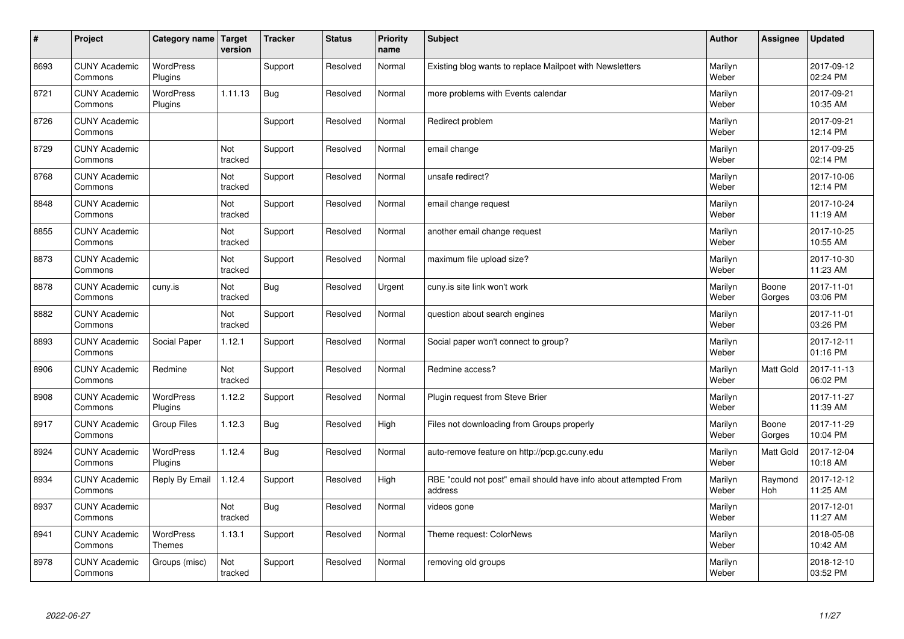| $\sharp$ | Project                         | Category name   Target            | version        | <b>Tracker</b> | <b>Status</b> | <b>Priority</b><br>name | <b>Subject</b>                                                              | <b>Author</b>    | Assignee         | <b>Updated</b>         |
|----------|---------------------------------|-----------------------------------|----------------|----------------|---------------|-------------------------|-----------------------------------------------------------------------------|------------------|------------------|------------------------|
| 8693     | <b>CUNY Academic</b><br>Commons | <b>WordPress</b><br>Plugins       |                | Support        | Resolved      | Normal                  | Existing blog wants to replace Mailpoet with Newsletters                    | Marilyn<br>Weber |                  | 2017-09-12<br>02:24 PM |
| 8721     | <b>CUNY Academic</b><br>Commons | <b>WordPress</b><br>Plugins       | 1.11.13        | Bug            | Resolved      | Normal                  | more problems with Events calendar                                          | Marilyn<br>Weber |                  | 2017-09-21<br>10:35 AM |
| 8726     | <b>CUNY Academic</b><br>Commons |                                   |                | Support        | Resolved      | Normal                  | Redirect problem                                                            | Marilyn<br>Weber |                  | 2017-09-21<br>12:14 PM |
| 8729     | <b>CUNY Academic</b><br>Commons |                                   | Not<br>tracked | Support        | Resolved      | Normal                  | email change                                                                | Marilyn<br>Weber |                  | 2017-09-25<br>02:14 PM |
| 8768     | <b>CUNY Academic</b><br>Commons |                                   | Not<br>tracked | Support        | Resolved      | Normal                  | unsafe redirect?                                                            | Marilyn<br>Weber |                  | 2017-10-06<br>12:14 PM |
| 8848     | <b>CUNY Academic</b><br>Commons |                                   | Not<br>tracked | Support        | Resolved      | Normal                  | email change request                                                        | Marilyn<br>Weber |                  | 2017-10-24<br>11:19 AM |
| 8855     | <b>CUNY Academic</b><br>Commons |                                   | Not<br>tracked | Support        | Resolved      | Normal                  | another email change request                                                | Marilyn<br>Weber |                  | 2017-10-25<br>10:55 AM |
| 8873     | <b>CUNY Academic</b><br>Commons |                                   | Not<br>tracked | Support        | Resolved      | Normal                  | maximum file upload size?                                                   | Marilyn<br>Weber |                  | 2017-10-30<br>11:23 AM |
| 8878     | <b>CUNY Academic</b><br>Commons | cuny.is                           | Not<br>tracked | Bug            | Resolved      | Urgent                  | cuny is site link won't work                                                | Marilyn<br>Weber | Boone<br>Gorges  | 2017-11-01<br>03:06 PM |
| 8882     | <b>CUNY Academic</b><br>Commons |                                   | Not<br>tracked | Support        | Resolved      | Normal                  | question about search engines                                               | Marilyn<br>Weber |                  | 2017-11-01<br>03:26 PM |
| 8893     | <b>CUNY Academic</b><br>Commons | Social Paper                      | 1.12.1         | Support        | Resolved      | Normal                  | Social paper won't connect to group?                                        | Marilyn<br>Weber |                  | 2017-12-11<br>01:16 PM |
| 8906     | <b>CUNY Academic</b><br>Commons | Redmine                           | Not<br>tracked | Support        | Resolved      | Normal                  | Redmine access?                                                             | Marilyn<br>Weber | <b>Matt Gold</b> | 2017-11-13<br>06:02 PM |
| 8908     | <b>CUNY Academic</b><br>Commons | <b>WordPress</b><br>Plugins       | 1.12.2         | Support        | Resolved      | Normal                  | Plugin request from Steve Brier                                             | Marilyn<br>Weber |                  | 2017-11-27<br>11:39 AM |
| 8917     | <b>CUNY Academic</b><br>Commons | <b>Group Files</b>                | 1.12.3         | Bug            | Resolved      | High                    | Files not downloading from Groups properly                                  | Marilyn<br>Weber | Boone<br>Gorges  | 2017-11-29<br>10:04 PM |
| 8924     | <b>CUNY Academic</b><br>Commons | WordPress<br>Plugins              | 1.12.4         | Bug            | Resolved      | Normal                  | auto-remove feature on http://pcp.gc.cuny.edu                               | Marilyn<br>Weber | Matt Gold        | 2017-12-04<br>10:18 AM |
| 8934     | <b>CUNY Academic</b><br>Commons | Reply By Email                    | 1.12.4         | Support        | Resolved      | High                    | RBE "could not post" email should have info about attempted From<br>address | Marilyn<br>Weber | Raymond<br>Hoh   | 2017-12-12<br>11:25 AM |
| 8937     | <b>CUNY Academic</b><br>Commons |                                   | Not<br>tracked | Bug            | Resolved      | Normal                  | videos gone                                                                 | Marilyn<br>Weber |                  | 2017-12-01<br>11:27 AM |
| 8941     | <b>CUNY Academic</b><br>Commons | <b>WordPress</b><br><b>Themes</b> | 1.13.1         | Support        | Resolved      | Normal                  | Theme request: ColorNews                                                    | Marilyn<br>Weber |                  | 2018-05-08<br>10:42 AM |
| 8978     | <b>CUNY Academic</b><br>Commons | Groups (misc)                     | Not<br>tracked | Support        | Resolved      | Normal                  | removing old groups                                                         | Marilyn<br>Weber |                  | 2018-12-10<br>03:52 PM |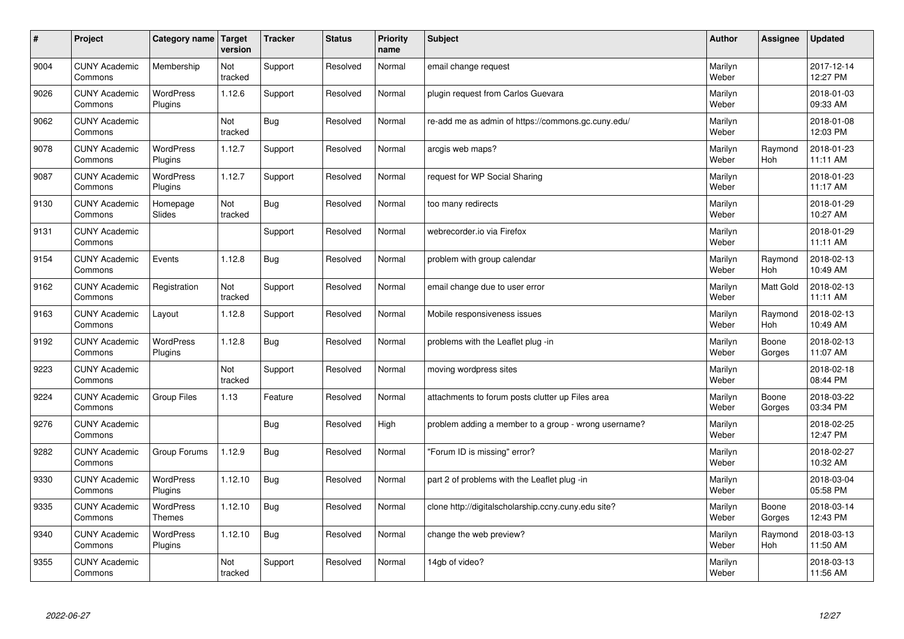| $\sharp$ | Project                         | Category name               | Target<br>version | <b>Tracker</b> | <b>Status</b> | <b>Priority</b><br>name | <b>Subject</b>                                       | <b>Author</b>    | Assignee              | <b>Updated</b>         |
|----------|---------------------------------|-----------------------------|-------------------|----------------|---------------|-------------------------|------------------------------------------------------|------------------|-----------------------|------------------------|
| 9004     | <b>CUNY Academic</b><br>Commons | Membership                  | Not<br>tracked    | Support        | Resolved      | Normal                  | email change request                                 | Marilyn<br>Weber |                       | 2017-12-14<br>12:27 PM |
| 9026     | <b>CUNY Academic</b><br>Commons | <b>WordPress</b><br>Plugins | 1.12.6            | Support        | Resolved      | Normal                  | plugin request from Carlos Guevara                   | Marilyn<br>Weber |                       | 2018-01-03<br>09:33 AM |
| 9062     | <b>CUNY Academic</b><br>Commons |                             | Not<br>tracked    | Bug            | Resolved      | Normal                  | re-add me as admin of https://commons.gc.cuny.edu/   | Marilyn<br>Weber |                       | 2018-01-08<br>12:03 PM |
| 9078     | <b>CUNY Academic</b><br>Commons | <b>WordPress</b><br>Plugins | 1.12.7            | Support        | Resolved      | Normal                  | arcgis web maps?                                     | Marilyn<br>Weber | Raymond<br><b>Hoh</b> | 2018-01-23<br>11:11 AM |
| 9087     | <b>CUNY Academic</b><br>Commons | <b>WordPress</b><br>Plugins | 1.12.7            | Support        | Resolved      | Normal                  | request for WP Social Sharing                        | Marilyn<br>Weber |                       | 2018-01-23<br>11:17 AM |
| 9130     | <b>CUNY Academic</b><br>Commons | Homepage<br><b>Slides</b>   | Not<br>tracked    | Bug            | Resolved      | Normal                  | too many redirects                                   | Marilyn<br>Weber |                       | 2018-01-29<br>10:27 AM |
| 9131     | <b>CUNY Academic</b><br>Commons |                             |                   | Support        | Resolved      | Normal                  | webrecorder.io via Firefox                           | Marilyn<br>Weber |                       | 2018-01-29<br>11:11 AM |
| 9154     | <b>CUNY Academic</b><br>Commons | Events                      | 1.12.8            | <b>Bug</b>     | Resolved      | Normal                  | problem with group calendar                          | Marilyn<br>Weber | Raymond<br>Hoh        | 2018-02-13<br>10:49 AM |
| 9162     | <b>CUNY Academic</b><br>Commons | Registration                | Not<br>tracked    | Support        | Resolved      | Normal                  | email change due to user error                       | Marilyn<br>Weber | <b>Matt Gold</b>      | 2018-02-13<br>11:11 AM |
| 9163     | <b>CUNY Academic</b><br>Commons | Layout                      | 1.12.8            | Support        | Resolved      | Normal                  | Mobile responsiveness issues                         | Marilyn<br>Weber | Raymond<br>Hoh        | 2018-02-13<br>10:49 AM |
| 9192     | <b>CUNY Academic</b><br>Commons | <b>WordPress</b><br>Plugins | 1.12.8            | Bug            | Resolved      | Normal                  | problems with the Leaflet plug -in                   | Marilyn<br>Weber | Boone<br>Gorges       | 2018-02-13<br>11:07 AM |
| 9223     | <b>CUNY Academic</b><br>Commons |                             | Not<br>tracked    | Support        | Resolved      | Normal                  | moving wordpress sites                               | Marilyn<br>Weber |                       | 2018-02-18<br>08:44 PM |
| 9224     | <b>CUNY Academic</b><br>Commons | Group Files                 | 1.13              | Feature        | Resolved      | Normal                  | attachments to forum posts clutter up Files area     | Marilyn<br>Weber | Boone<br>Gorges       | 2018-03-22<br>03:34 PM |
| 9276     | <b>CUNY Academic</b><br>Commons |                             |                   | <b>Bug</b>     | Resolved      | High                    | problem adding a member to a group - wrong username? | Marilyn<br>Weber |                       | 2018-02-25<br>12:47 PM |
| 9282     | <b>CUNY Academic</b><br>Commons | Group Forums                | 1.12.9            | <b>Bug</b>     | Resolved      | Normal                  | 'Forum ID is missing" error?                         | Marilyn<br>Weber |                       | 2018-02-27<br>10:32 AM |
| 9330     | <b>CUNY Academic</b><br>Commons | <b>WordPress</b><br>Plugins | 1.12.10           | <b>Bug</b>     | Resolved      | Normal                  | part 2 of problems with the Leaflet plug -in         | Marilyn<br>Weber |                       | 2018-03-04<br>05:58 PM |
| 9335     | <b>CUNY Academic</b><br>Commons | WordPress<br>Themes         | 1.12.10           | Bug            | Resolved      | Normal                  | clone http://digitalscholarship.ccny.cuny.edu site?  | Marilyn<br>Weber | Boone<br>Gorges       | 2018-03-14<br>12:43 PM |
| 9340     | <b>CUNY Academic</b><br>Commons | <b>WordPress</b><br>Plugins | 1.12.10           | Bug            | Resolved      | Normal                  | change the web preview?                              | Marilyn<br>Weber | Raymond<br><b>Hoh</b> | 2018-03-13<br>11:50 AM |
| 9355     | <b>CUNY Academic</b><br>Commons |                             | Not<br>tracked    | Support        | Resolved      | Normal                  | 14gb of video?                                       | Marilyn<br>Weber |                       | 2018-03-13<br>11:56 AM |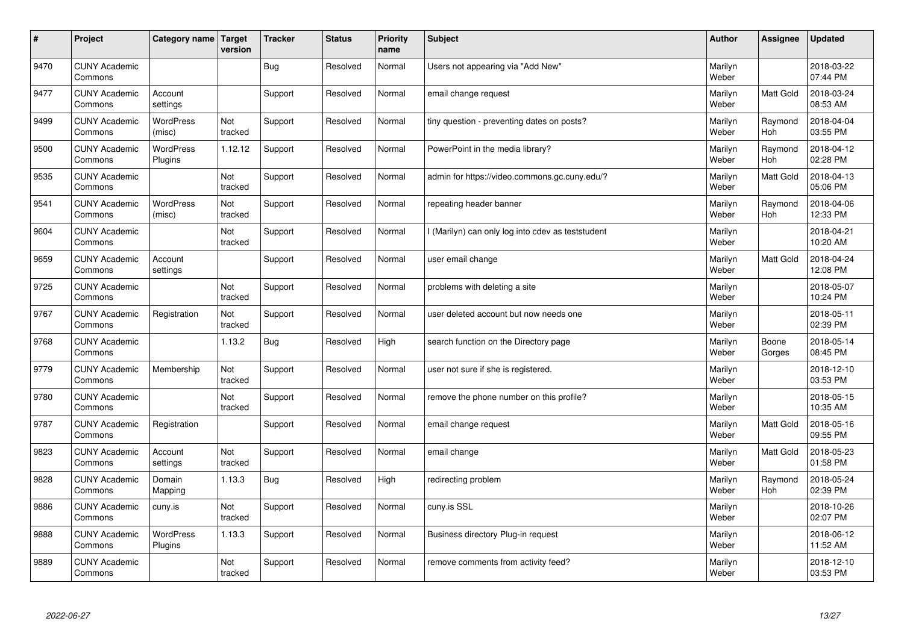| $\sharp$ | Project                         | Category name   Target      | version        | <b>Tracker</b> | <b>Status</b> | <b>Priority</b><br>name | <b>Subject</b>                                    | <b>Author</b>    | Assignee              | <b>Updated</b>         |
|----------|---------------------------------|-----------------------------|----------------|----------------|---------------|-------------------------|---------------------------------------------------|------------------|-----------------------|------------------------|
| 9470     | <b>CUNY Academic</b><br>Commons |                             |                | Bug            | Resolved      | Normal                  | Users not appearing via "Add New"                 | Marilyn<br>Weber |                       | 2018-03-22<br>07:44 PM |
| 9477     | <b>CUNY Academic</b><br>Commons | Account<br>settings         |                | Support        | Resolved      | Normal                  | email change request                              | Marilyn<br>Weber | <b>Matt Gold</b>      | 2018-03-24<br>08:53 AM |
| 9499     | <b>CUNY Academic</b><br>Commons | <b>WordPress</b><br>(misc)  | Not<br>tracked | Support        | Resolved      | Normal                  | tiny question - preventing dates on posts?        | Marilyn<br>Weber | Raymond<br>Hoh        | 2018-04-04<br>03:55 PM |
| 9500     | <b>CUNY Academic</b><br>Commons | <b>WordPress</b><br>Plugins | 1.12.12        | Support        | Resolved      | Normal                  | PowerPoint in the media library?                  | Marilyn<br>Weber | Raymond<br>Hoh        | 2018-04-12<br>02:28 PM |
| 9535     | <b>CUNY Academic</b><br>Commons |                             | Not<br>tracked | Support        | Resolved      | Normal                  | admin for https://video.commons.gc.cuny.edu/?     | Marilyn<br>Weber | <b>Matt Gold</b>      | 2018-04-13<br>05:06 PM |
| 9541     | <b>CUNY Academic</b><br>Commons | <b>WordPress</b><br>(misc)  | Not<br>tracked | Support        | Resolved      | Normal                  | repeating header banner                           | Marilyn<br>Weber | Raymond<br>Hoh        | 2018-04-06<br>12:33 PM |
| 9604     | <b>CUNY Academic</b><br>Commons |                             | Not<br>tracked | Support        | Resolved      | Normal                  | I (Marilyn) can only log into cdev as teststudent | Marilyn<br>Weber |                       | 2018-04-21<br>10:20 AM |
| 9659     | <b>CUNY Academic</b><br>Commons | Account<br>settings         |                | Support        | Resolved      | Normal                  | user email change                                 | Marilyn<br>Weber | Matt Gold             | 2018-04-24<br>12:08 PM |
| 9725     | <b>CUNY Academic</b><br>Commons |                             | Not<br>tracked | Support        | Resolved      | Normal                  | problems with deleting a site                     | Marilyn<br>Weber |                       | 2018-05-07<br>10:24 PM |
| 9767     | <b>CUNY Academic</b><br>Commons | Registration                | Not<br>tracked | Support        | Resolved      | Normal                  | user deleted account but now needs one            | Marilyn<br>Weber |                       | 2018-05-11<br>02:39 PM |
| 9768     | <b>CUNY Academic</b><br>Commons |                             | 1.13.2         | <b>Bug</b>     | Resolved      | High                    | search function on the Directory page             | Marilyn<br>Weber | Boone<br>Gorges       | 2018-05-14<br>08:45 PM |
| 9779     | <b>CUNY Academic</b><br>Commons | Membership                  | Not<br>tracked | Support        | Resolved      | Normal                  | user not sure if she is registered.               | Marilyn<br>Weber |                       | 2018-12-10<br>03:53 PM |
| 9780     | <b>CUNY Academic</b><br>Commons |                             | Not<br>tracked | Support        | Resolved      | Normal                  | remove the phone number on this profile?          | Marilyn<br>Weber |                       | 2018-05-15<br>10:35 AM |
| 9787     | <b>CUNY Academic</b><br>Commons | Registration                |                | Support        | Resolved      | Normal                  | email change request                              | Marilyn<br>Weber | <b>Matt Gold</b>      | 2018-05-16<br>09:55 PM |
| 9823     | <b>CUNY Academic</b><br>Commons | Account<br>settings         | Not<br>tracked | Support        | Resolved      | Normal                  | email change                                      | Marilyn<br>Weber | Matt Gold             | 2018-05-23<br>01:58 PM |
| 9828     | <b>CUNY Academic</b><br>Commons | Domain<br>Mapping           | 1.13.3         | Bug            | Resolved      | High                    | redirecting problem                               | Marilyn<br>Weber | Raymond<br><b>Hoh</b> | 2018-05-24<br>02:39 PM |
| 9886     | <b>CUNY Academic</b><br>Commons | cuny.is                     | Not<br>tracked | Support        | Resolved      | Normal                  | cuny.is SSL                                       | Marilyn<br>Weber |                       | 2018-10-26<br>02:07 PM |
| 9888     | <b>CUNY Academic</b><br>Commons | <b>WordPress</b><br>Plugins | 1.13.3         | Support        | Resolved      | Normal                  | Business directory Plug-in request                | Marilyn<br>Weber |                       | 2018-06-12<br>11:52 AM |
| 9889     | <b>CUNY Academic</b><br>Commons |                             | Not<br>tracked | Support        | Resolved      | Normal                  | remove comments from activity feed?               | Marilyn<br>Weber |                       | 2018-12-10<br>03:53 PM |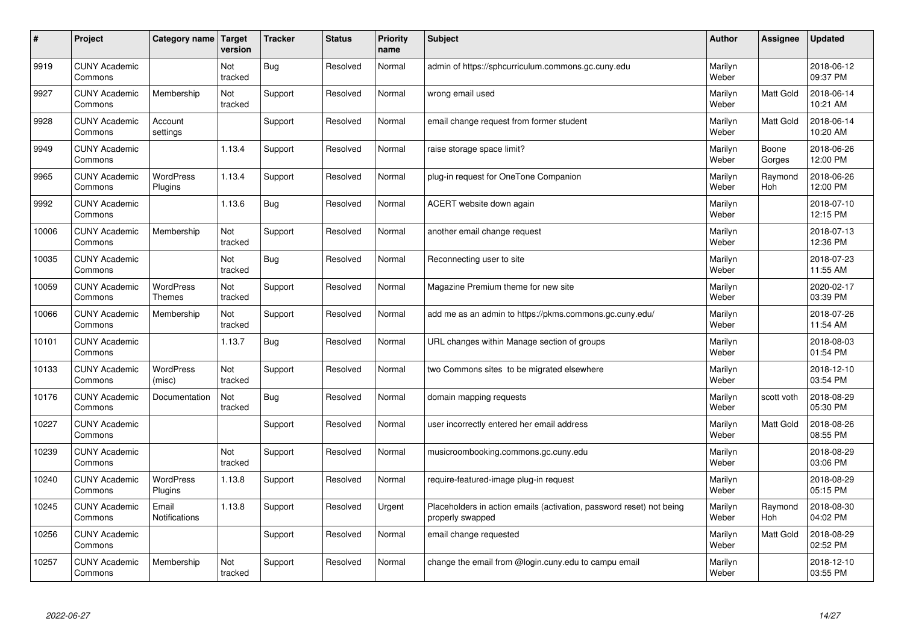| #     | Project                         | Category name   Target            | version        | <b>Tracker</b> | <b>Status</b> | <b>Priority</b><br>name | <b>Subject</b>                                                                           | <b>Author</b>    | Assignee         | <b>Updated</b>         |
|-------|---------------------------------|-----------------------------------|----------------|----------------|---------------|-------------------------|------------------------------------------------------------------------------------------|------------------|------------------|------------------------|
| 9919  | <b>CUNY Academic</b><br>Commons |                                   | Not<br>tracked | <b>Bug</b>     | Resolved      | Normal                  | admin of https://sphcurriculum.commons.gc.cuny.edu                                       | Marilyn<br>Weber |                  | 2018-06-12<br>09:37 PM |
| 9927  | <b>CUNY Academic</b><br>Commons | Membership                        | Not<br>tracked | Support        | Resolved      | Normal                  | wrong email used                                                                         | Marilyn<br>Weber | Matt Gold        | 2018-06-14<br>10:21 AM |
| 9928  | <b>CUNY Academic</b><br>Commons | Account<br>settings               |                | Support        | Resolved      | Normal                  | email change request from former student                                                 | Marilyn<br>Weber | <b>Matt Gold</b> | 2018-06-14<br>10:20 AM |
| 9949  | <b>CUNY Academic</b><br>Commons |                                   | 1.13.4         | Support        | Resolved      | Normal                  | raise storage space limit?                                                               | Marilyn<br>Weber | Boone<br>Gorges  | 2018-06-26<br>12:00 PM |
| 9965  | <b>CUNY Academic</b><br>Commons | <b>WordPress</b><br>Plugins       | 1.13.4         | Support        | Resolved      | Normal                  | plug-in request for OneTone Companion                                                    | Marilyn<br>Weber | Raymond<br>Hoh   | 2018-06-26<br>12:00 PM |
| 9992  | <b>CUNY Academic</b><br>Commons |                                   | 1.13.6         | <b>Bug</b>     | Resolved      | Normal                  | ACERT website down again                                                                 | Marilyn<br>Weber |                  | 2018-07-10<br>12:15 PM |
| 10006 | <b>CUNY Academic</b><br>Commons | Membership                        | Not<br>tracked | Support        | Resolved      | Normal                  | another email change request                                                             | Marilyn<br>Weber |                  | 2018-07-13<br>12:36 PM |
| 10035 | <b>CUNY Academic</b><br>Commons |                                   | Not<br>tracked | Bug            | Resolved      | Normal                  | Reconnecting user to site                                                                | Marilyn<br>Weber |                  | 2018-07-23<br>11:55 AM |
| 10059 | <b>CUNY Academic</b><br>Commons | <b>WordPress</b><br><b>Themes</b> | Not<br>tracked | Support        | Resolved      | Normal                  | Magazine Premium theme for new site                                                      | Marilyn<br>Weber |                  | 2020-02-17<br>03:39 PM |
| 10066 | <b>CUNY Academic</b><br>Commons | Membership                        | Not<br>tracked | Support        | Resolved      | Normal                  | add me as an admin to https://pkms.commons.gc.cuny.edu/                                  | Marilyn<br>Weber |                  | 2018-07-26<br>11:54 AM |
| 10101 | <b>CUNY Academic</b><br>Commons |                                   | 1.13.7         | Bug            | Resolved      | Normal                  | URL changes within Manage section of groups                                              | Marilyn<br>Weber |                  | 2018-08-03<br>01:54 PM |
| 10133 | <b>CUNY Academic</b><br>Commons | <b>WordPress</b><br>(misc)        | Not<br>tracked | Support        | Resolved      | Normal                  | two Commons sites to be migrated elsewhere                                               | Marilyn<br>Weber |                  | 2018-12-10<br>03:54 PM |
| 10176 | <b>CUNY Academic</b><br>Commons | Documentation                     | Not<br>tracked | <b>Bug</b>     | Resolved      | Normal                  | domain mapping requests                                                                  | Marilyn<br>Weber | scott voth       | 2018-08-29<br>05:30 PM |
| 10227 | <b>CUNY Academic</b><br>Commons |                                   |                | Support        | Resolved      | Normal                  | user incorrectly entered her email address                                               | Marilyn<br>Weber | <b>Matt Gold</b> | 2018-08-26<br>08:55 PM |
| 10239 | <b>CUNY Academic</b><br>Commons |                                   | Not<br>tracked | Support        | Resolved      | Normal                  | musicroombooking.commons.gc.cuny.edu                                                     | Marilyn<br>Weber |                  | 2018-08-29<br>03:06 PM |
| 10240 | <b>CUNY Academic</b><br>Commons | WordPress<br>Plugins              | 1.13.8         | Support        | Resolved      | Normal                  | require-featured-image plug-in request                                                   | Marilyn<br>Weber |                  | 2018-08-29<br>05:15 PM |
| 10245 | <b>CUNY Academic</b><br>Commons | Email<br><b>Notifications</b>     | 1.13.8         | Support        | Resolved      | Urgent                  | Placeholders in action emails (activation, password reset) not being<br>properly swapped | Marilyn<br>Weber | Raymond<br>Hoh   | 2018-08-30<br>04:02 PM |
| 10256 | <b>CUNY Academic</b><br>Commons |                                   |                | Support        | Resolved      | Normal                  | email change requested                                                                   | Marilyn<br>Weber | Matt Gold        | 2018-08-29<br>02:52 PM |
| 10257 | <b>CUNY Academic</b><br>Commons | Membership                        | Not<br>tracked | Support        | Resolved      | Normal                  | change the email from @login.cuny.edu to campu email                                     | Marilyn<br>Weber |                  | 2018-12-10<br>03:55 PM |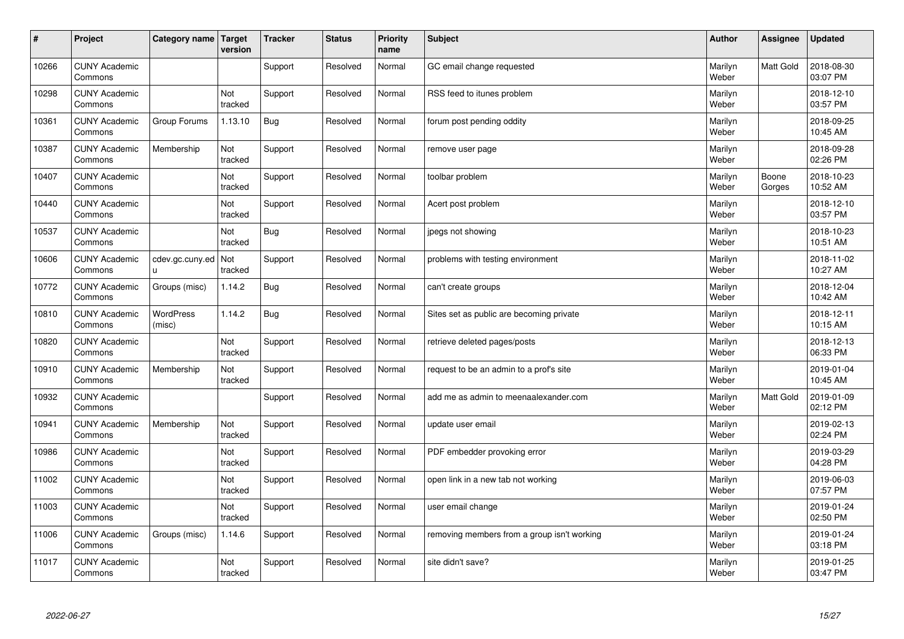| $\sharp$ | Project                         | Category name   Target     | version        | <b>Tracker</b> | <b>Status</b> | <b>Priority</b><br>name | <b>Subject</b>                              | <b>Author</b>    | Assignee         | <b>Updated</b>         |
|----------|---------------------------------|----------------------------|----------------|----------------|---------------|-------------------------|---------------------------------------------|------------------|------------------|------------------------|
| 10266    | <b>CUNY Academic</b><br>Commons |                            |                | Support        | Resolved      | Normal                  | GC email change requested                   | Marilyn<br>Weber | Matt Gold        | 2018-08-30<br>03:07 PM |
| 10298    | <b>CUNY Academic</b><br>Commons |                            | Not<br>tracked | Support        | Resolved      | Normal                  | RSS feed to itunes problem                  | Marilyn<br>Weber |                  | 2018-12-10<br>03:57 PM |
| 10361    | <b>CUNY Academic</b><br>Commons | Group Forums               | 1.13.10        | <b>Bug</b>     | Resolved      | Normal                  | forum post pending oddity                   | Marilyn<br>Weber |                  | 2018-09-25<br>10:45 AM |
| 10387    | <b>CUNY Academic</b><br>Commons | Membership                 | Not<br>tracked | Support        | Resolved      | Normal                  | remove user page                            | Marilyn<br>Weber |                  | 2018-09-28<br>02:26 PM |
| 10407    | <b>CUNY Academic</b><br>Commons |                            | Not<br>tracked | Support        | Resolved      | Normal                  | toolbar problem                             | Marilyn<br>Weber | Boone<br>Gorges  | 2018-10-23<br>10:52 AM |
| 10440    | <b>CUNY Academic</b><br>Commons |                            | Not<br>tracked | Support        | Resolved      | Normal                  | Acert post problem                          | Marilyn<br>Weber |                  | 2018-12-10<br>03:57 PM |
| 10537    | <b>CUNY Academic</b><br>Commons |                            | Not<br>tracked | <b>Bug</b>     | Resolved      | Normal                  | jpegs not showing                           | Marilyn<br>Weber |                  | 2018-10-23<br>10:51 AM |
| 10606    | <b>CUNY Academic</b><br>Commons | cdev.gc.cuny.ed<br>u.      | Not<br>tracked | Support        | Resolved      | Normal                  | problems with testing environment           | Marilyn<br>Weber |                  | 2018-11-02<br>10:27 AM |
| 10772    | <b>CUNY Academic</b><br>Commons | Groups (misc)              | 1.14.2         | Bug            | Resolved      | Normal                  | can't create groups                         | Marilyn<br>Weber |                  | 2018-12-04<br>10:42 AM |
| 10810    | <b>CUNY Academic</b><br>Commons | <b>WordPress</b><br>(misc) | 1.14.2         | Bug            | Resolved      | Normal                  | Sites set as public are becoming private    | Marilyn<br>Weber |                  | 2018-12-11<br>10:15 AM |
| 10820    | <b>CUNY Academic</b><br>Commons |                            | Not<br>tracked | Support        | Resolved      | Normal                  | retrieve deleted pages/posts                | Marilyn<br>Weber |                  | 2018-12-13<br>06:33 PM |
| 10910    | <b>CUNY Academic</b><br>Commons | Membership                 | Not<br>tracked | Support        | Resolved      | Normal                  | request to be an admin to a prof's site     | Marilyn<br>Weber |                  | 2019-01-04<br>10:45 AM |
| 10932    | <b>CUNY Academic</b><br>Commons |                            |                | Support        | Resolved      | Normal                  | add me as admin to meenaalexander.com       | Marilyn<br>Weber | <b>Matt Gold</b> | 2019-01-09<br>02:12 PM |
| 10941    | <b>CUNY Academic</b><br>Commons | Membership                 | Not<br>tracked | Support        | Resolved      | Normal                  | update user email                           | Marilyn<br>Weber |                  | 2019-02-13<br>02:24 PM |
| 10986    | <b>CUNY Academic</b><br>Commons |                            | Not<br>tracked | Support        | Resolved      | Normal                  | PDF embedder provoking error                | Marilyn<br>Weber |                  | 2019-03-29<br>04:28 PM |
| 11002    | <b>CUNY Academic</b><br>Commons |                            | Not<br>tracked | Support        | Resolved      | Normal                  | open link in a new tab not working          | Marilyn<br>Weber |                  | 2019-06-03<br>07:57 PM |
| 11003    | <b>CUNY Academic</b><br>Commons |                            | Not<br>tracked | Support        | Resolved      | Normal                  | user email change                           | Marilyn<br>Weber |                  | 2019-01-24<br>02:50 PM |
| 11006    | <b>CUNY Academic</b><br>Commons | Groups (misc)              | 1.14.6         | Support        | Resolved      | Normal                  | removing members from a group isn't working | Marilyn<br>Weber |                  | 2019-01-24<br>03:18 PM |
| 11017    | <b>CUNY Academic</b><br>Commons |                            | Not<br>tracked | Support        | Resolved      | Normal                  | site didn't save?                           | Marilyn<br>Weber |                  | 2019-01-25<br>03:47 PM |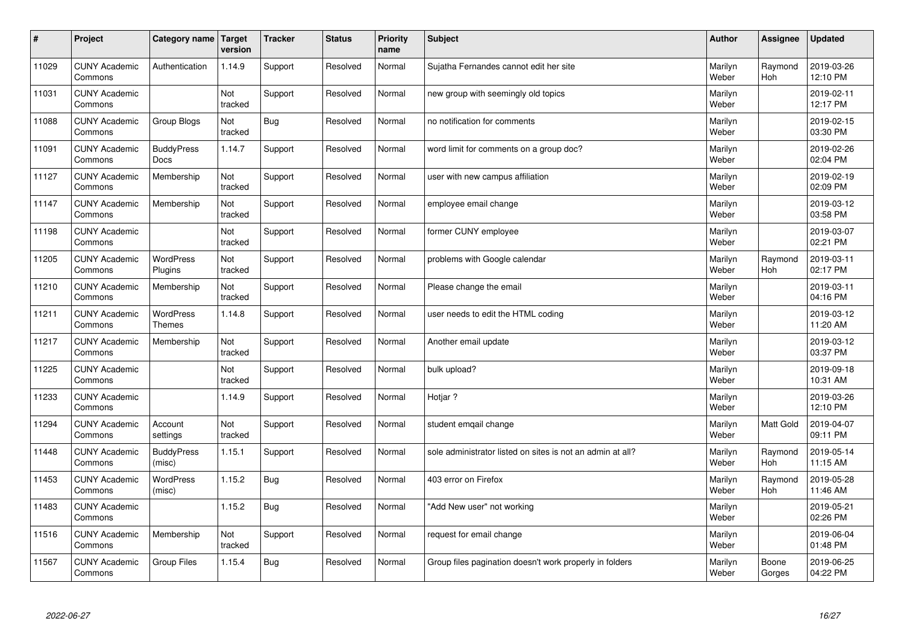| $\pmb{\#}$ | Project                         | Category name                     | Target<br>version | <b>Tracker</b> | <b>Status</b> | <b>Priority</b><br>name | <b>Subject</b>                                             | <b>Author</b>    | Assignee              | <b>Updated</b>         |
|------------|---------------------------------|-----------------------------------|-------------------|----------------|---------------|-------------------------|------------------------------------------------------------|------------------|-----------------------|------------------------|
| 11029      | <b>CUNY Academic</b><br>Commons | Authentication                    | 1.14.9            | Support        | Resolved      | Normal                  | Sujatha Fernandes cannot edit her site                     | Marilyn<br>Weber | Raymond<br><b>Hoh</b> | 2019-03-26<br>12:10 PM |
| 11031      | <b>CUNY Academic</b><br>Commons |                                   | Not<br>tracked    | Support        | Resolved      | Normal                  | new group with seemingly old topics                        | Marilyn<br>Weber |                       | 2019-02-11<br>12:17 PM |
| 11088      | <b>CUNY Academic</b><br>Commons | Group Blogs                       | Not<br>tracked    | Bug            | Resolved      | Normal                  | no notification for comments                               | Marilyn<br>Weber |                       | 2019-02-15<br>03:30 PM |
| 11091      | <b>CUNY Academic</b><br>Commons | <b>BuddyPress</b><br><b>Docs</b>  | 1.14.7            | Support        | Resolved      | Normal                  | word limit for comments on a group doc?                    | Marilyn<br>Weber |                       | 2019-02-26<br>02:04 PM |
| 11127      | <b>CUNY Academic</b><br>Commons | Membership                        | Not<br>tracked    | Support        | Resolved      | Normal                  | user with new campus affiliation                           | Marilyn<br>Weber |                       | 2019-02-19<br>02:09 PM |
| 11147      | <b>CUNY Academic</b><br>Commons | Membership                        | Not<br>tracked    | Support        | Resolved      | Normal                  | employee email change                                      | Marilyn<br>Weber |                       | 2019-03-12<br>03:58 PM |
| 11198      | <b>CUNY Academic</b><br>Commons |                                   | Not<br>tracked    | Support        | Resolved      | Normal                  | former CUNY employee                                       | Marilyn<br>Weber |                       | 2019-03-07<br>02:21 PM |
| 11205      | <b>CUNY Academic</b><br>Commons | <b>WordPress</b><br>Plugins       | Not<br>tracked    | Support        | Resolved      | Normal                  | problems with Google calendar                              | Marilyn<br>Weber | Raymond<br><b>Hoh</b> | 2019-03-11<br>02:17 PM |
| 11210      | <b>CUNY Academic</b><br>Commons | Membership                        | Not<br>tracked    | Support        | Resolved      | Normal                  | Please change the email                                    | Marilyn<br>Weber |                       | 2019-03-11<br>04:16 PM |
| 11211      | <b>CUNY Academic</b><br>Commons | <b>WordPress</b><br><b>Themes</b> | 1.14.8            | Support        | Resolved      | Normal                  | user needs to edit the HTML coding                         | Marilyn<br>Weber |                       | 2019-03-12<br>11:20 AM |
| 11217      | <b>CUNY Academic</b><br>Commons | Membership                        | Not<br>tracked    | Support        | Resolved      | Normal                  | Another email update                                       | Marilyn<br>Weber |                       | 2019-03-12<br>03:37 PM |
| 11225      | <b>CUNY Academic</b><br>Commons |                                   | Not<br>tracked    | Support        | Resolved      | Normal                  | bulk upload?                                               | Marilyn<br>Weber |                       | 2019-09-18<br>10:31 AM |
| 11233      | <b>CUNY Academic</b><br>Commons |                                   | 1.14.9            | Support        | Resolved      | Normal                  | Hotjar?                                                    | Marilyn<br>Weber |                       | 2019-03-26<br>12:10 PM |
| 11294      | <b>CUNY Academic</b><br>Commons | Account<br>settings               | Not<br>tracked    | Support        | Resolved      | Normal                  | student emgail change                                      | Marilyn<br>Weber | Matt Gold             | 2019-04-07<br>09:11 PM |
| 11448      | <b>CUNY Academic</b><br>Commons | <b>BuddyPress</b><br>(misc)       | 1.15.1            | Support        | Resolved      | Normal                  | sole administrator listed on sites is not an admin at all? | Marilyn<br>Weber | Raymond<br><b>Hoh</b> | 2019-05-14<br>11:15 AM |
| 11453      | <b>CUNY Academic</b><br>Commons | <b>WordPress</b><br>(misc)        | 1.15.2            | Bug            | Resolved      | Normal                  | 403 error on Firefox                                       | Marilyn<br>Weber | Raymond<br>Hoh        | 2019-05-28<br>11:46 AM |
| 11483      | <b>CUNY Academic</b><br>Commons |                                   | 1.15.2            | Bug            | Resolved      | Normal                  | 'Add New user" not working                                 | Marilyn<br>Weber |                       | 2019-05-21<br>02:26 PM |
| 11516      | <b>CUNY Academic</b><br>Commons | Membership                        | Not<br>tracked    | Support        | Resolved      | Normal                  | request for email change                                   | Marilyn<br>Weber |                       | 2019-06-04<br>01:48 PM |
| 11567      | <b>CUNY Academic</b><br>Commons | <b>Group Files</b>                | 1.15.4            | Bug            | Resolved      | Normal                  | Group files pagination doesn't work properly in folders    | Marilyn<br>Weber | Boone<br>Gorges       | 2019-06-25<br>04:22 PM |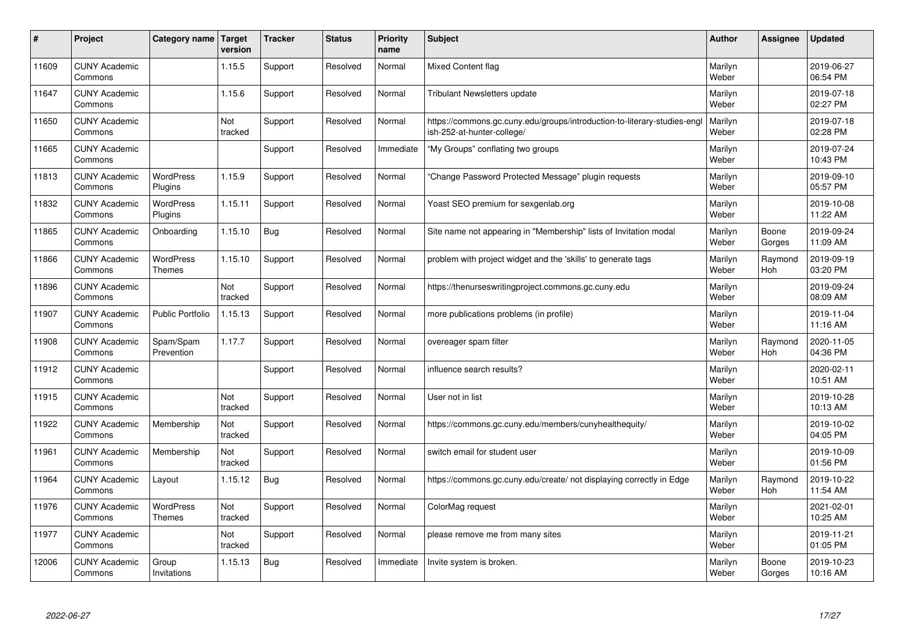| $\sharp$ | Project                         | Category name   Target            | version        | <b>Tracker</b> | <b>Status</b> | <b>Priority</b><br>name | <b>Subject</b>                                                                                        | <b>Author</b>    | Assignee              | <b>Updated</b>         |
|----------|---------------------------------|-----------------------------------|----------------|----------------|---------------|-------------------------|-------------------------------------------------------------------------------------------------------|------------------|-----------------------|------------------------|
| 11609    | <b>CUNY Academic</b><br>Commons |                                   | 1.15.5         | Support        | Resolved      | Normal                  | Mixed Content flag                                                                                    | Marilyn<br>Weber |                       | 2019-06-27<br>06:54 PM |
| 11647    | <b>CUNY Academic</b><br>Commons |                                   | 1.15.6         | Support        | Resolved      | Normal                  | <b>Tribulant Newsletters update</b>                                                                   | Marilyn<br>Weber |                       | 2019-07-18<br>02:27 PM |
| 11650    | <b>CUNY Academic</b><br>Commons |                                   | Not<br>tracked | Support        | Resolved      | Normal                  | https://commons.gc.cuny.edu/groups/introduction-to-literary-studies-eng<br>ish-252-at-hunter-college/ | Marilyn<br>Weber |                       | 2019-07-18<br>02:28 PM |
| 11665    | <b>CUNY Academic</b><br>Commons |                                   |                | Support        | Resolved      | Immediate               | "My Groups" conflating two groups                                                                     | Marilyn<br>Weber |                       | 2019-07-24<br>10:43 PM |
| 11813    | <b>CUNY Academic</b><br>Commons | <b>WordPress</b><br>Plugins       | 1.15.9         | Support        | Resolved      | Normal                  | 'Change Password Protected Message" plugin requests                                                   | Marilyn<br>Weber |                       | 2019-09-10<br>05:57 PM |
| 11832    | <b>CUNY Academic</b><br>Commons | <b>WordPress</b><br>Plugins       | 1.15.11        | Support        | Resolved      | Normal                  | Yoast SEO premium for sexgenlab.org                                                                   | Marilyn<br>Weber |                       | 2019-10-08<br>11:22 AM |
| 11865    | <b>CUNY Academic</b><br>Commons | Onboarding                        | 1.15.10        | <b>Bug</b>     | Resolved      | Normal                  | Site name not appearing in "Membership" lists of Invitation modal                                     | Marilyn<br>Weber | Boone<br>Gorges       | 2019-09-24<br>11:09 AM |
| 11866    | <b>CUNY Academic</b><br>Commons | <b>WordPress</b><br><b>Themes</b> | 1.15.10        | Support        | Resolved      | Normal                  | problem with project widget and the 'skills' to generate tags                                         | Marilyn<br>Weber | Raymond<br>Hoh        | 2019-09-19<br>03:20 PM |
| 11896    | <b>CUNY Academic</b><br>Commons |                                   | Not<br>tracked | Support        | Resolved      | Normal                  | https://thenurseswritingproject.commons.gc.cuny.edu                                                   | Marilyn<br>Weber |                       | 2019-09-24<br>08:09 AM |
| 11907    | <b>CUNY Academic</b><br>Commons | <b>Public Portfolio</b>           | 1.15.13        | Support        | Resolved      | Normal                  | more publications problems (in profile)                                                               | Marilyn<br>Weber |                       | 2019-11-04<br>11:16 AM |
| 11908    | <b>CUNY Academic</b><br>Commons | Spam/Spam<br>Prevention           | 1.17.7         | Support        | Resolved      | Normal                  | overeager spam filter                                                                                 | Marilyn<br>Weber | Raymond<br>Hoh        | 2020-11-05<br>04:36 PM |
| 11912    | <b>CUNY Academic</b><br>Commons |                                   |                | Support        | Resolved      | Normal                  | influence search results?                                                                             | Marilyn<br>Weber |                       | 2020-02-11<br>10:51 AM |
| 11915    | <b>CUNY Academic</b><br>Commons |                                   | Not<br>tracked | Support        | Resolved      | Normal                  | User not in list                                                                                      | Marilyn<br>Weber |                       | 2019-10-28<br>10:13 AM |
| 11922    | <b>CUNY Academic</b><br>Commons | Membership                        | Not<br>tracked | Support        | Resolved      | Normal                  | https://commons.gc.cuny.edu/members/cunyhealthequity/                                                 | Marilyn<br>Weber |                       | 2019-10-02<br>04:05 PM |
| 11961    | <b>CUNY Academic</b><br>Commons | Membership                        | Not<br>tracked | Support        | Resolved      | Normal                  | switch email for student user                                                                         | Marilyn<br>Weber |                       | 2019-10-09<br>01:56 PM |
| 11964    | <b>CUNY Academic</b><br>Commons | Layout                            | 1.15.12        | Bug            | Resolved      | Normal                  | https://commons.gc.cuny.edu/create/ not displaying correctly in Edge                                  | Marilyn<br>Weber | Raymond<br><b>Hoh</b> | 2019-10-22<br>11:54 AM |
| 11976    | <b>CUNY Academic</b><br>Commons | WordPress<br>Themes               | Not<br>tracked | Support        | Resolved      | Normal                  | ColorMag request                                                                                      | Marilyn<br>Weber |                       | 2021-02-01<br>10:25 AM |
| 11977    | <b>CUNY Academic</b><br>Commons |                                   | Not<br>tracked | Support        | Resolved      | Normal                  | please remove me from many sites                                                                      | Marilyn<br>Weber |                       | 2019-11-21<br>01:05 PM |
| 12006    | <b>CUNY Academic</b><br>Commons | Group<br>Invitations              | 1.15.13        | Bug            | Resolved      | Immediate               | Invite system is broken.                                                                              | Marilyn<br>Weber | Boone<br>Gorges       | 2019-10-23<br>10:16 AM |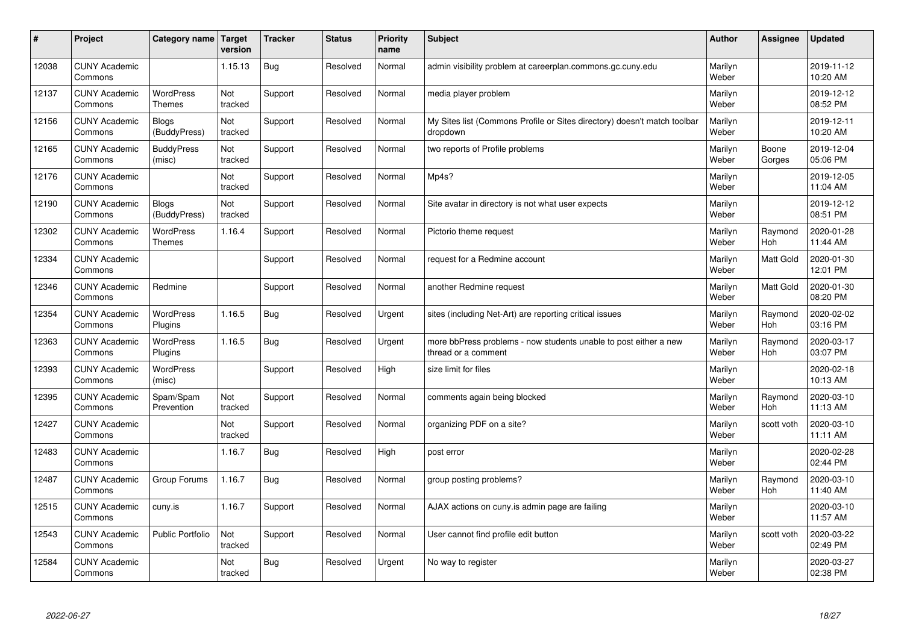| $\sharp$ | Project                         | Category name   Target            | version        | <b>Tracker</b> | <b>Status</b> | <b>Priority</b><br>name | <b>Subject</b>                                                                          | <b>Author</b>    | Assignee              | <b>Updated</b>         |
|----------|---------------------------------|-----------------------------------|----------------|----------------|---------------|-------------------------|-----------------------------------------------------------------------------------------|------------------|-----------------------|------------------------|
| 12038    | <b>CUNY Academic</b><br>Commons |                                   | 1.15.13        | <b>Bug</b>     | Resolved      | Normal                  | admin visibility problem at careerplan.commons.gc.cuny.edu                              | Marilyn<br>Weber |                       | 2019-11-12<br>10:20 AM |
| 12137    | <b>CUNY Academic</b><br>Commons | <b>WordPress</b><br>Themes        | Not<br>tracked | Support        | Resolved      | Normal                  | media player problem                                                                    | Marilyn<br>Weber |                       | 2019-12-12<br>08:52 PM |
| 12156    | <b>CUNY Academic</b><br>Commons | Blogs<br>(BuddyPress)             | Not<br>tracked | Support        | Resolved      | Normal                  | My Sites list (Commons Profile or Sites directory) doesn't match toolbar<br>dropdown    | Marilyn<br>Weber |                       | 2019-12-11<br>10:20 AM |
| 12165    | <b>CUNY Academic</b><br>Commons | <b>BuddyPress</b><br>(misc)       | Not<br>tracked | Support        | Resolved      | Normal                  | two reports of Profile problems                                                         | Marilyn<br>Weber | Boone<br>Gorges       | 2019-12-04<br>05:06 PM |
| 12176    | <b>CUNY Academic</b><br>Commons |                                   | Not<br>tracked | Support        | Resolved      | Normal                  | Mp4s?                                                                                   | Marilyn<br>Weber |                       | 2019-12-05<br>11:04 AM |
| 12190    | <b>CUNY Academic</b><br>Commons | Blogs<br>(BuddyPress)             | Not<br>tracked | Support        | Resolved      | Normal                  | Site avatar in directory is not what user expects                                       | Marilyn<br>Weber |                       | 2019-12-12<br>08:51 PM |
| 12302    | <b>CUNY Academic</b><br>Commons | <b>WordPress</b><br><b>Themes</b> | 1.16.4         | Support        | Resolved      | Normal                  | Pictorio theme request                                                                  | Marilyn<br>Weber | Raymond<br>Hoh        | 2020-01-28<br>11:44 AM |
| 12334    | <b>CUNY Academic</b><br>Commons |                                   |                | Support        | Resolved      | Normal                  | request for a Redmine account                                                           | Marilyn<br>Weber | Matt Gold             | 2020-01-30<br>12:01 PM |
| 12346    | <b>CUNY Academic</b><br>Commons | Redmine                           |                | Support        | Resolved      | Normal                  | another Redmine request                                                                 | Marilyn<br>Weber | <b>Matt Gold</b>      | 2020-01-30<br>08:20 PM |
| 12354    | <b>CUNY Academic</b><br>Commons | WordPress<br>Plugins              | 1.16.5         | <b>Bug</b>     | Resolved      | Urgent                  | sites (including Net-Art) are reporting critical issues                                 | Marilyn<br>Weber | Raymond<br>Hoh        | 2020-02-02<br>03:16 PM |
| 12363    | <b>CUNY Academic</b><br>Commons | WordPress<br>Plugins              | 1.16.5         | <b>Bug</b>     | Resolved      | Urgent                  | more bbPress problems - now students unable to post either a new<br>thread or a comment | Marilyn<br>Weber | Raymond<br>Hoh        | 2020-03-17<br>03:07 PM |
| 12393    | <b>CUNY Academic</b><br>Commons | <b>WordPress</b><br>(misc)        |                | Support        | Resolved      | High                    | size limit for files                                                                    | Marilyn<br>Weber |                       | 2020-02-18<br>10:13 AM |
| 12395    | <b>CUNY Academic</b><br>Commons | Spam/Spam<br>Prevention           | Not<br>tracked | Support        | Resolved      | Normal                  | comments again being blocked                                                            | Marilyn<br>Weber | Raymond<br>Hoh        | 2020-03-10<br>11:13 AM |
| 12427    | <b>CUNY Academic</b><br>Commons |                                   | Not<br>tracked | Support        | Resolved      | Normal                  | organizing PDF on a site?                                                               | Marilyn<br>Weber | scott voth            | 2020-03-10<br>11:11 AM |
| 12483    | <b>CUNY Academic</b><br>Commons |                                   | 1.16.7         | <b>Bug</b>     | Resolved      | High                    | post error                                                                              | Marilyn<br>Weber |                       | 2020-02-28<br>02:44 PM |
| 12487    | <b>CUNY Academic</b><br>Commons | Group Forums                      | 1.16.7         | Bug            | Resolved      | Normal                  | group posting problems?                                                                 | Marilyn<br>Weber | Raymond<br><b>Hoh</b> | 2020-03-10<br>11:40 AM |
| 12515    | <b>CUNY Academic</b><br>Commons | cuny.is                           | 1.16.7         | Support        | Resolved      | Normal                  | AJAX actions on cuny is admin page are failing                                          | Marilyn<br>Weber |                       | 2020-03-10<br>11:57 AM |
| 12543    | <b>CUNY Academic</b><br>Commons | Public Portfolio                  | Not<br>tracked | Support        | Resolved      | Normal                  | User cannot find profile edit button                                                    | Marilyn<br>Weber | scott voth            | 2020-03-22<br>02:49 PM |
| 12584    | <b>CUNY Academic</b><br>Commons |                                   | Not<br>tracked | Bug            | Resolved      | Urgent                  | No way to register                                                                      | Marilyn<br>Weber |                       | 2020-03-27<br>02:38 PM |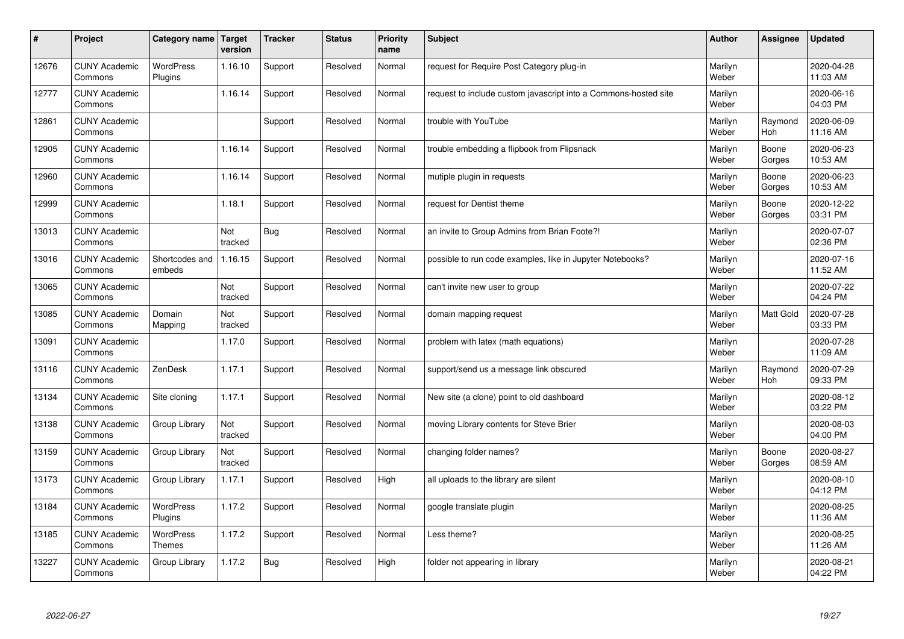| $\sharp$ | Project                         | Category name   Target            | version        | <b>Tracker</b> | <b>Status</b> | <b>Priority</b><br>name | <b>Subject</b>                                                  | <b>Author</b>    | Assignee        | <b>Updated</b>         |
|----------|---------------------------------|-----------------------------------|----------------|----------------|---------------|-------------------------|-----------------------------------------------------------------|------------------|-----------------|------------------------|
| 12676    | <b>CUNY Academic</b><br>Commons | <b>WordPress</b><br>Plugins       | 1.16.10        | Support        | Resolved      | Normal                  | request for Require Post Category plug-in                       | Marilyn<br>Weber |                 | 2020-04-28<br>11:03 AM |
| 12777    | <b>CUNY Academic</b><br>Commons |                                   | 1.16.14        | Support        | Resolved      | Normal                  | request to include custom javascript into a Commons-hosted site | Marilyn<br>Weber |                 | 2020-06-16<br>04:03 PM |
| 12861    | <b>CUNY Academic</b><br>Commons |                                   |                | Support        | Resolved      | Normal                  | trouble with YouTube                                            | Marilyn<br>Weber | Raymond<br>Hoh  | 2020-06-09<br>11:16 AM |
| 12905    | <b>CUNY Academic</b><br>Commons |                                   | 1.16.14        | Support        | Resolved      | Normal                  | trouble embedding a flipbook from Flipsnack                     | Marilyn<br>Weber | Boone<br>Gorges | 2020-06-23<br>10:53 AM |
| 12960    | <b>CUNY Academic</b><br>Commons |                                   | 1.16.14        | Support        | Resolved      | Normal                  | mutiple plugin in requests                                      | Marilyn<br>Weber | Boone<br>Gorges | 2020-06-23<br>10:53 AM |
| 12999    | <b>CUNY Academic</b><br>Commons |                                   | 1.18.1         | Support        | Resolved      | Normal                  | request for Dentist theme                                       | Marilyn<br>Weber | Boone<br>Gorges | 2020-12-22<br>03:31 PM |
| 13013    | <b>CUNY Academic</b><br>Commons |                                   | Not<br>tracked | <b>Bug</b>     | Resolved      | Normal                  | an invite to Group Admins from Brian Foote?!                    | Marilyn<br>Weber |                 | 2020-07-07<br>02:36 PM |
| 13016    | <b>CUNY Academic</b><br>Commons | Shortcodes and<br>embeds          | 1.16.15        | Support        | Resolved      | Normal                  | possible to run code examples, like in Jupyter Notebooks?       | Marilyn<br>Weber |                 | 2020-07-16<br>11:52 AM |
| 13065    | <b>CUNY Academic</b><br>Commons |                                   | Not<br>tracked | Support        | Resolved      | Normal                  | can't invite new user to group                                  | Marilyn<br>Weber |                 | 2020-07-22<br>04:24 PM |
| 13085    | <b>CUNY Academic</b><br>Commons | Domain<br>Mapping                 | Not<br>tracked | Support        | Resolved      | Normal                  | domain mapping request                                          | Marilyn<br>Weber | Matt Gold       | 2020-07-28<br>03:33 PM |
| 13091    | <b>CUNY Academic</b><br>Commons |                                   | 1.17.0         | Support        | Resolved      | Normal                  | problem with latex (math equations)                             | Marilyn<br>Weber |                 | 2020-07-28<br>11:09 AM |
| 13116    | <b>CUNY Academic</b><br>Commons | ZenDesk                           | 1.17.1         | Support        | Resolved      | Normal                  | support/send us a message link obscured                         | Marilyn<br>Weber | Raymond<br>Hoh  | 2020-07-29<br>09:33 PM |
| 13134    | <b>CUNY Academic</b><br>Commons | Site cloning                      | 1.17.1         | Support        | Resolved      | Normal                  | New site (a clone) point to old dashboard                       | Marilyn<br>Weber |                 | 2020-08-12<br>03:22 PM |
| 13138    | <b>CUNY Academic</b><br>Commons | Group Library                     | Not<br>tracked | Support        | Resolved      | Normal                  | moving Library contents for Steve Brier                         | Marilyn<br>Weber |                 | 2020-08-03<br>04:00 PM |
| 13159    | <b>CUNY Academic</b><br>Commons | Group Library                     | Not<br>tracked | Support        | Resolved      | Normal                  | changing folder names?                                          | Marilyn<br>Weber | Boone<br>Gorges | 2020-08-27<br>08:59 AM |
| 13173    | <b>CUNY Academic</b><br>Commons | Group Library                     | 1.17.1         | Support        | Resolved      | High                    | all uploads to the library are silent                           | Marilyn<br>Weber |                 | 2020-08-10<br>04:12 PM |
| 13184    | <b>CUNY Academic</b><br>Commons | WordPress<br>Plugins              | 1.17.2         | Support        | Resolved      | Normal                  | google translate plugin                                         | Marilyn<br>Weber |                 | 2020-08-25<br>11:36 AM |
| 13185    | <b>CUNY Academic</b><br>Commons | <b>WordPress</b><br><b>Themes</b> | 1.17.2         | Support        | Resolved      | Normal                  | Less theme?                                                     | Marilyn<br>Weber |                 | 2020-08-25<br>11:26 AM |
| 13227    | <b>CUNY Academic</b><br>Commons | Group Library                     | 1.17.2         | <b>Bug</b>     | Resolved      | High                    | folder not appearing in library                                 | Marilyn<br>Weber |                 | 2020-08-21<br>04:22 PM |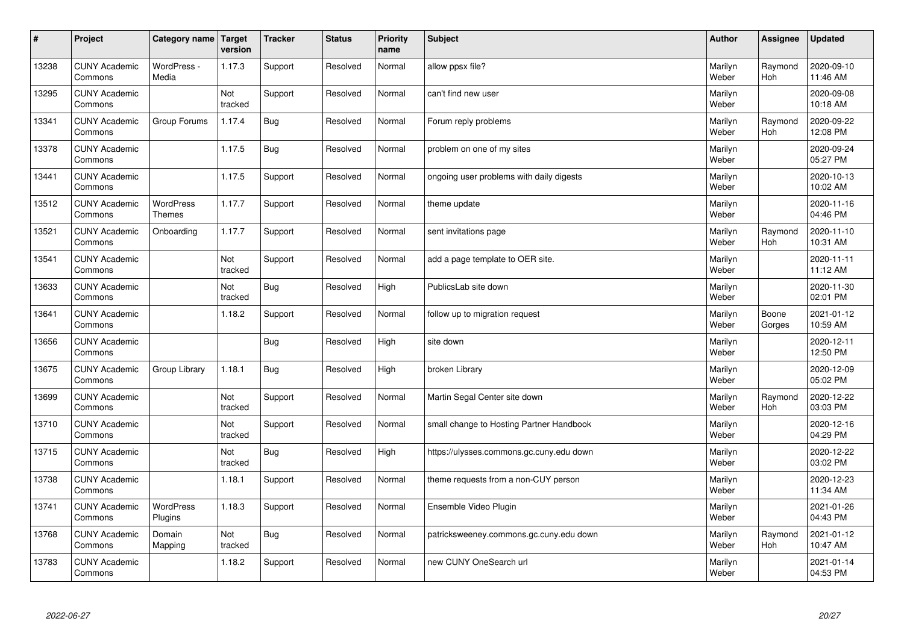| $\sharp$ | Project                         | Category name   Target            | version        | <b>Tracker</b> | <b>Status</b> | <b>Priority</b><br>name | <b>Subject</b>                           | <b>Author</b>    | <b>Assignee</b>       | <b>Updated</b>         |
|----------|---------------------------------|-----------------------------------|----------------|----------------|---------------|-------------------------|------------------------------------------|------------------|-----------------------|------------------------|
| 13238    | <b>CUNY Academic</b><br>Commons | WordPress -<br>Media              | 1.17.3         | Support        | Resolved      | Normal                  | allow ppsx file?                         | Marilyn<br>Weber | Raymond<br><b>Hoh</b> | 2020-09-10<br>11:46 AM |
| 13295    | <b>CUNY Academic</b><br>Commons |                                   | Not<br>tracked | Support        | Resolved      | Normal                  | can't find new user                      | Marilyn<br>Weber |                       | 2020-09-08<br>10:18 AM |
| 13341    | <b>CUNY Academic</b><br>Commons | Group Forums                      | 1.17.4         | Bug            | Resolved      | Normal                  | Forum reply problems                     | Marilyn<br>Weber | Raymond<br>Hoh        | 2020-09-22<br>12:08 PM |
| 13378    | <b>CUNY Academic</b><br>Commons |                                   | 1.17.5         | <b>Bug</b>     | Resolved      | Normal                  | problem on one of my sites               | Marilyn<br>Weber |                       | 2020-09-24<br>05:27 PM |
| 13441    | <b>CUNY Academic</b><br>Commons |                                   | 1.17.5         | Support        | Resolved      | Normal                  | ongoing user problems with daily digests | Marilyn<br>Weber |                       | 2020-10-13<br>10:02 AM |
| 13512    | <b>CUNY Academic</b><br>Commons | <b>WordPress</b><br><b>Themes</b> | 1.17.7         | Support        | Resolved      | Normal                  | theme update                             | Marilyn<br>Weber |                       | 2020-11-16<br>04:46 PM |
| 13521    | <b>CUNY Academic</b><br>Commons | Onboarding                        | 1.17.7         | Support        | Resolved      | Normal                  | sent invitations page                    | Marilyn<br>Weber | Raymond<br>Hoh        | 2020-11-10<br>10:31 AM |
| 13541    | <b>CUNY Academic</b><br>Commons |                                   | Not<br>tracked | Support        | Resolved      | Normal                  | add a page template to OER site.         | Marilyn<br>Weber |                       | 2020-11-11<br>11:12 AM |
| 13633    | <b>CUNY Academic</b><br>Commons |                                   | Not<br>tracked | Bug            | Resolved      | High                    | PublicsLab site down                     | Marilyn<br>Weber |                       | 2020-11-30<br>02:01 PM |
| 13641    | <b>CUNY Academic</b><br>Commons |                                   | 1.18.2         | Support        | Resolved      | Normal                  | follow up to migration request           | Marilyn<br>Weber | Boone<br>Gorges       | 2021-01-12<br>10:59 AM |
| 13656    | <b>CUNY Academic</b><br>Commons |                                   |                | Bug            | Resolved      | High                    | site down                                | Marilyn<br>Weber |                       | 2020-12-11<br>12:50 PM |
| 13675    | <b>CUNY Academic</b><br>Commons | Group Library                     | 1.18.1         | <b>Bug</b>     | Resolved      | High                    | broken Library                           | Marilyn<br>Weber |                       | 2020-12-09<br>05:02 PM |
| 13699    | <b>CUNY Academic</b><br>Commons |                                   | Not<br>tracked | Support        | Resolved      | Normal                  | Martin Segal Center site down            | Marilyn<br>Weber | Raymond<br>Hoh        | 2020-12-22<br>03:03 PM |
| 13710    | <b>CUNY Academic</b><br>Commons |                                   | Not<br>tracked | Support        | Resolved      | Normal                  | small change to Hosting Partner Handbook | Marilyn<br>Weber |                       | 2020-12-16<br>04:29 PM |
| 13715    | <b>CUNY Academic</b><br>Commons |                                   | Not<br>tracked | Bug            | Resolved      | High                    | https://ulysses.commons.gc.cuny.edu down | Marilyn<br>Weber |                       | 2020-12-22<br>03:02 PM |
| 13738    | <b>CUNY Academic</b><br>Commons |                                   | 1.18.1         | Support        | Resolved      | Normal                  | theme requests from a non-CUY person     | Marilyn<br>Weber |                       | 2020-12-23<br>11:34 AM |
| 13741    | <b>CUNY Academic</b><br>Commons | WordPress<br>Plugins              | 1.18.3         | Support        | Resolved      | Normal                  | Ensemble Video Plugin                    | Marilyn<br>Weber |                       | 2021-01-26<br>04:43 PM |
| 13768    | <b>CUNY Academic</b><br>Commons | Domain<br>Mapping                 | Not<br>tracked | Bug            | Resolved      | Normal                  | patricksweeney.commons.gc.cuny.edu down  | Marilyn<br>Weber | Raymond<br><b>Hoh</b> | 2021-01-12<br>10:47 AM |
| 13783    | <b>CUNY Academic</b><br>Commons |                                   | 1.18.2         | Support        | Resolved      | Normal                  | new CUNY OneSearch url                   | Marilyn<br>Weber |                       | 2021-01-14<br>04:53 PM |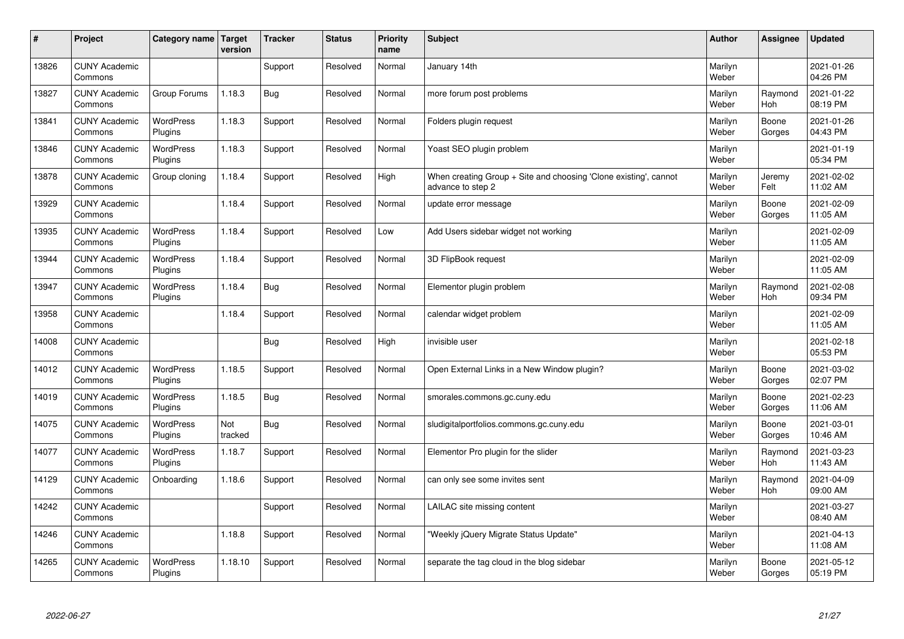| #     | Project                         | Category name   Target      | version        | <b>Tracker</b> | <b>Status</b> | Priority<br>name | <b>Subject</b>                                                                        | <b>Author</b>    | <b>Assignee</b>       | <b>Updated</b>         |
|-------|---------------------------------|-----------------------------|----------------|----------------|---------------|------------------|---------------------------------------------------------------------------------------|------------------|-----------------------|------------------------|
| 13826 | <b>CUNY Academic</b><br>Commons |                             |                | Support        | Resolved      | Normal           | January 14th                                                                          | Marilyn<br>Weber |                       | 2021-01-26<br>04:26 PM |
| 13827 | <b>CUNY Academic</b><br>Commons | Group Forums                | 1.18.3         | <b>Bug</b>     | Resolved      | Normal           | more forum post problems                                                              | Marilyn<br>Weber | Raymond<br>Hoh        | 2021-01-22<br>08:19 PM |
| 13841 | <b>CUNY Academic</b><br>Commons | <b>WordPress</b><br>Plugins | 1.18.3         | Support        | Resolved      | Normal           | Folders plugin request                                                                | Marilyn<br>Weber | Boone<br>Gorges       | 2021-01-26<br>04:43 PM |
| 13846 | <b>CUNY Academic</b><br>Commons | <b>WordPress</b><br>Plugins | 1.18.3         | Support        | Resolved      | Normal           | Yoast SEO plugin problem                                                              | Marilyn<br>Weber |                       | 2021-01-19<br>05:34 PM |
| 13878 | <b>CUNY Academic</b><br>Commons | Group cloning               | 1.18.4         | Support        | Resolved      | High             | When creating Group + Site and choosing 'Clone existing', cannot<br>advance to step 2 | Marilyn<br>Weber | Jeremy<br>Felt        | 2021-02-02<br>11:02 AM |
| 13929 | <b>CUNY Academic</b><br>Commons |                             | 1.18.4         | Support        | Resolved      | Normal           | update error message                                                                  | Marilyn<br>Weber | Boone<br>Gorges       | 2021-02-09<br>11:05 AM |
| 13935 | <b>CUNY Academic</b><br>Commons | WordPress<br>Plugins        | 1.18.4         | Support        | Resolved      | Low              | Add Users sidebar widget not working                                                  | Marilyn<br>Weber |                       | 2021-02-09<br>11:05 AM |
| 13944 | <b>CUNY Academic</b><br>Commons | WordPress<br>Plugins        | 1.18.4         | Support        | Resolved      | Normal           | 3D FlipBook request                                                                   | Marilyn<br>Weber |                       | 2021-02-09<br>11:05 AM |
| 13947 | <b>CUNY Academic</b><br>Commons | <b>WordPress</b><br>Plugins | 1.18.4         | Bug            | Resolved      | Normal           | Elementor plugin problem                                                              | Marilyn<br>Weber | Raymond<br><b>Hoh</b> | 2021-02-08<br>09:34 PM |
| 13958 | <b>CUNY Academic</b><br>Commons |                             | 1.18.4         | Support        | Resolved      | Normal           | calendar widget problem                                                               | Marilyn<br>Weber |                       | 2021-02-09<br>11:05 AM |
| 14008 | <b>CUNY Academic</b><br>Commons |                             |                | <b>Bug</b>     | Resolved      | High             | invisible user                                                                        | Marilyn<br>Weber |                       | 2021-02-18<br>05:53 PM |
| 14012 | <b>CUNY Academic</b><br>Commons | WordPress<br>Plugins        | 1.18.5         | Support        | Resolved      | Normal           | Open External Links in a New Window plugin?                                           | Marilyn<br>Weber | Boone<br>Gorges       | 2021-03-02<br>02:07 PM |
| 14019 | <b>CUNY Academic</b><br>Commons | <b>WordPress</b><br>Plugins | 1.18.5         | Bug            | Resolved      | Normal           | smorales.commons.gc.cuny.edu                                                          | Marilyn<br>Weber | Boone<br>Gorges       | 2021-02-23<br>11:06 AM |
| 14075 | <b>CUNY Academic</b><br>Commons | <b>WordPress</b><br>Plugins | Not<br>tracked | Bug            | Resolved      | Normal           | sludigitalportfolios.commons.gc.cuny.edu                                              | Marilyn<br>Weber | Boone<br>Gorges       | 2021-03-01<br>10:46 AM |
| 14077 | <b>CUNY Academic</b><br>Commons | WordPress<br>Plugins        | 1.18.7         | Support        | Resolved      | Normal           | Elementor Pro plugin for the slider                                                   | Marilyn<br>Weber | Raymond<br><b>Hoh</b> | 2021-03-23<br>11:43 AM |
| 14129 | <b>CUNY Academic</b><br>Commons | Onboarding                  | 1.18.6         | Support        | Resolved      | Normal           | can only see some invites sent                                                        | Marilyn<br>Weber | Raymond<br><b>Hoh</b> | 2021-04-09<br>09:00 AM |
| 14242 | <b>CUNY Academic</b><br>Commons |                             |                | Support        | Resolved      | Normal           | LAILAC site missing content                                                           | Marilyn<br>Weber |                       | 2021-03-27<br>08:40 AM |
| 14246 | <b>CUNY Academic</b><br>Commons |                             | 1.18.8         | Support        | Resolved      | Normal           | 'Weekly jQuery Migrate Status Update"                                                 | Marilyn<br>Weber |                       | 2021-04-13<br>11:08 AM |
| 14265 | <b>CUNY Academic</b><br>Commons | <b>WordPress</b><br>Plugins | 1.18.10        | Support        | Resolved      | Normal           | separate the tag cloud in the blog sidebar                                            | Marilyn<br>Weber | Boone<br>Gorges       | 2021-05-12<br>05:19 PM |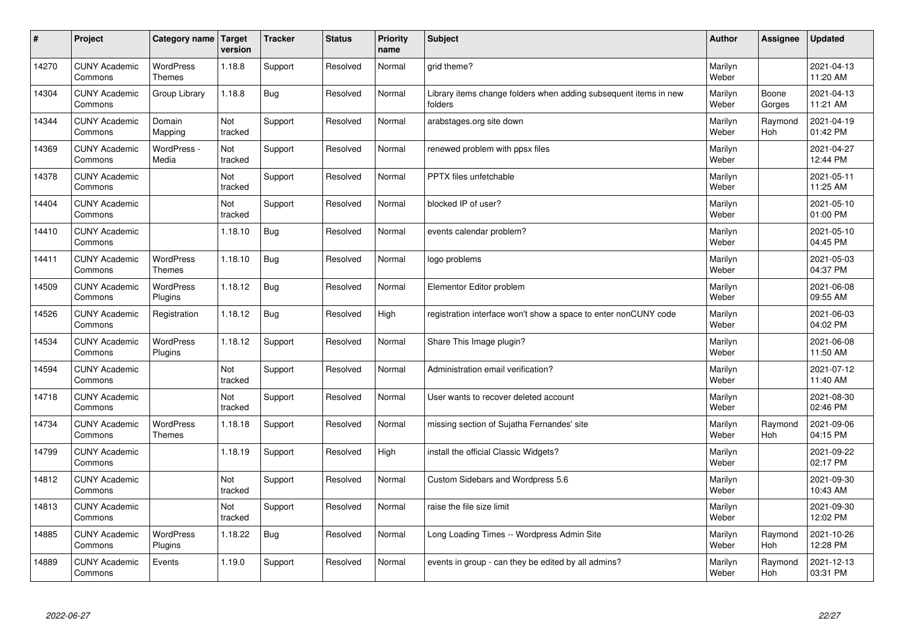| $\sharp$ | Project                         | Category name   Target            | version        | <b>Tracker</b> | <b>Status</b> | <b>Priority</b><br>name | <b>Subject</b>                                                              | <b>Author</b>    | Assignee              | <b>Updated</b>         |
|----------|---------------------------------|-----------------------------------|----------------|----------------|---------------|-------------------------|-----------------------------------------------------------------------------|------------------|-----------------------|------------------------|
| 14270    | <b>CUNY Academic</b><br>Commons | <b>WordPress</b><br><b>Themes</b> | 1.18.8         | Support        | Resolved      | Normal                  | grid theme?                                                                 | Marilyn<br>Weber |                       | 2021-04-13<br>11:20 AM |
| 14304    | <b>CUNY Academic</b><br>Commons | Group Library                     | 1.18.8         | Bug            | Resolved      | Normal                  | Library items change folders when adding subsequent items in new<br>folders | Marilyn<br>Weber | Boone<br>Gorges       | 2021-04-13<br>11:21 AM |
| 14344    | <b>CUNY Academic</b><br>Commons | Domain<br>Mapping                 | Not<br>tracked | Support        | Resolved      | Normal                  | arabstages.org site down                                                    | Marilyn<br>Weber | Raymond<br><b>Hoh</b> | 2021-04-19<br>01:42 PM |
| 14369    | <b>CUNY Academic</b><br>Commons | WordPress -<br>Media              | Not<br>tracked | Support        | Resolved      | Normal                  | renewed problem with ppsx files                                             | Marilyn<br>Weber |                       | 2021-04-27<br>12:44 PM |
| 14378    | <b>CUNY Academic</b><br>Commons |                                   | Not<br>tracked | Support        | Resolved      | Normal                  | PPTX files unfetchable                                                      | Marilyn<br>Weber |                       | 2021-05-11<br>11:25 AM |
| 14404    | <b>CUNY Academic</b><br>Commons |                                   | Not<br>tracked | Support        | Resolved      | Normal                  | blocked IP of user?                                                         | Marilyn<br>Weber |                       | 2021-05-10<br>01:00 PM |
| 14410    | <b>CUNY Academic</b><br>Commons |                                   | 1.18.10        | Bug            | Resolved      | Normal                  | events calendar problem?                                                    | Marilyn<br>Weber |                       | 2021-05-10<br>04:45 PM |
| 14411    | <b>CUNY Academic</b><br>Commons | WordPress<br><b>Themes</b>        | 1.18.10        | Bug            | Resolved      | Normal                  | logo problems                                                               | Marilyn<br>Weber |                       | 2021-05-03<br>04:37 PM |
| 14509    | <b>CUNY Academic</b><br>Commons | <b>WordPress</b><br>Plugins       | 1.18.12        | Bug            | Resolved      | Normal                  | Elementor Editor problem                                                    | Marilyn<br>Weber |                       | 2021-06-08<br>09:55 AM |
| 14526    | <b>CUNY Academic</b><br>Commons | Registration                      | 1.18.12        | Bug            | Resolved      | High                    | registration interface won't show a space to enter nonCUNY code             | Marilyn<br>Weber |                       | 2021-06-03<br>04:02 PM |
| 14534    | <b>CUNY Academic</b><br>Commons | <b>WordPress</b><br>Plugins       | 1.18.12        | Support        | Resolved      | Normal                  | Share This Image plugin?                                                    | Marilyn<br>Weber |                       | 2021-06-08<br>11:50 AM |
| 14594    | <b>CUNY Academic</b><br>Commons |                                   | Not<br>tracked | Support        | Resolved      | Normal                  | Administration email verification?                                          | Marilyn<br>Weber |                       | 2021-07-12<br>11:40 AM |
| 14718    | <b>CUNY Academic</b><br>Commons |                                   | Not<br>tracked | Support        | Resolved      | Normal                  | User wants to recover deleted account                                       | Marilyn<br>Weber |                       | 2021-08-30<br>02:46 PM |
| 14734    | <b>CUNY Academic</b><br>Commons | WordPress<br><b>Themes</b>        | 1.18.18        | Support        | Resolved      | Normal                  | missing section of Sujatha Fernandes' site                                  | Marilyn<br>Weber | Raymond<br>Hoh        | 2021-09-06<br>04:15 PM |
| 14799    | <b>CUNY Academic</b><br>Commons |                                   | 1.18.19        | Support        | Resolved      | High                    | install the official Classic Widgets?                                       | Marilyn<br>Weber |                       | 2021-09-22<br>02:17 PM |
| 14812    | <b>CUNY Academic</b><br>Commons |                                   | Not<br>tracked | Support        | Resolved      | Normal                  | Custom Sidebars and Wordpress 5.6                                           | Marilyn<br>Weber |                       | 2021-09-30<br>10:43 AM |
| 14813    | <b>CUNY Academic</b><br>Commons |                                   | Not<br>tracked | Support        | Resolved      | Normal                  | raise the file size limit                                                   | Marilyn<br>Weber |                       | 2021-09-30<br>12:02 PM |
| 14885    | <b>CUNY Academic</b><br>Commons | <b>WordPress</b><br>Plugins       | 1.18.22        | Bug            | Resolved      | Normal                  | Long Loading Times -- Wordpress Admin Site                                  | Marilyn<br>Weber | Raymond<br>Hoh        | 2021-10-26<br>12:28 PM |
| 14889    | <b>CUNY Academic</b><br>Commons | Events                            | 1.19.0         | Support        | Resolved      | Normal                  | events in group - can they be edited by all admins?                         | Marilyn<br>Weber | Raymond<br>Hoh        | 2021-12-13<br>03:31 PM |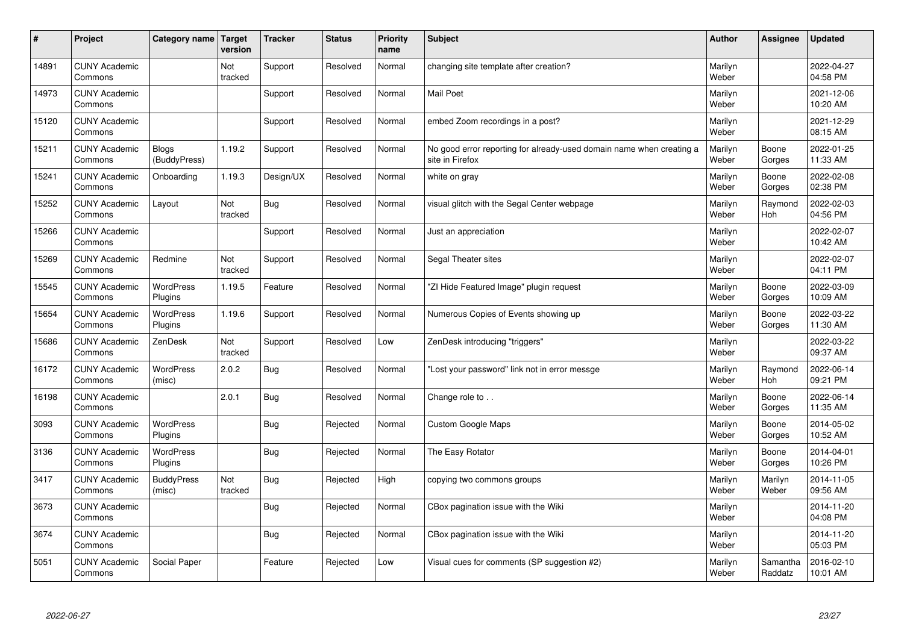| $\sharp$ | Project                         | Category name   Target      | version        | <b>Tracker</b> | <b>Status</b> | <b>Priority</b><br>name | <b>Subject</b>                                                                          | <b>Author</b>    | <b>Assignee</b>       | <b>Updated</b>         |
|----------|---------------------------------|-----------------------------|----------------|----------------|---------------|-------------------------|-----------------------------------------------------------------------------------------|------------------|-----------------------|------------------------|
| 14891    | <b>CUNY Academic</b><br>Commons |                             | Not<br>tracked | Support        | Resolved      | Normal                  | changing site template after creation?                                                  | Marilyn<br>Weber |                       | 2022-04-27<br>04:58 PM |
| 14973    | <b>CUNY Academic</b><br>Commons |                             |                | Support        | Resolved      | Normal                  | <b>Mail Poet</b>                                                                        | Marilyn<br>Weber |                       | 2021-12-06<br>10:20 AM |
| 15120    | <b>CUNY Academic</b><br>Commons |                             |                | Support        | Resolved      | Normal                  | embed Zoom recordings in a post?                                                        | Marilyn<br>Weber |                       | 2021-12-29<br>08:15 AM |
| 15211    | <b>CUNY Academic</b><br>Commons | Blogs<br>(BuddyPress)       | 1.19.2         | Support        | Resolved      | Normal                  | No good error reporting for already-used domain name when creating a<br>site in Firefox | Marilyn<br>Weber | Boone<br>Gorges       | 2022-01-25<br>11:33 AM |
| 15241    | <b>CUNY Academic</b><br>Commons | Onboarding                  | 1.19.3         | Design/UX      | Resolved      | Normal                  | white on gray                                                                           | Marilyn<br>Weber | Boone<br>Gorges       | 2022-02-08<br>02:38 PM |
| 15252    | <b>CUNY Academic</b><br>Commons | Layout                      | Not<br>tracked | Bug            | Resolved      | Normal                  | visual glitch with the Segal Center webpage                                             | Marilyn<br>Weber | Raymond<br>Hoh        | 2022-02-03<br>04:56 PM |
| 15266    | <b>CUNY Academic</b><br>Commons |                             |                | Support        | Resolved      | Normal                  | Just an appreciation                                                                    | Marilyn<br>Weber |                       | 2022-02-07<br>10:42 AM |
| 15269    | <b>CUNY Academic</b><br>Commons | Redmine                     | Not<br>tracked | Support        | Resolved      | Normal                  | Segal Theater sites                                                                     | Marilyn<br>Weber |                       | 2022-02-07<br>04:11 PM |
| 15545    | <b>CUNY Academic</b><br>Commons | <b>WordPress</b><br>Plugins | 1.19.5         | Feature        | Resolved      | Normal                  | "ZI Hide Featured Image" plugin request                                                 | Marilyn<br>Weber | Boone<br>Gorges       | 2022-03-09<br>10:09 AM |
| 15654    | <b>CUNY Academic</b><br>Commons | WordPress<br>Plugins        | 1.19.6         | Support        | Resolved      | Normal                  | Numerous Copies of Events showing up                                                    | Marilyn<br>Weber | Boone<br>Gorges       | 2022-03-22<br>11:30 AM |
| 15686    | <b>CUNY Academic</b><br>Commons | ZenDesk                     | Not<br>tracked | Support        | Resolved      | Low                     | ZenDesk introducing "triggers"                                                          | Marilyn<br>Weber |                       | 2022-03-22<br>09:37 AM |
| 16172    | <b>CUNY Academic</b><br>Commons | <b>WordPress</b><br>(misc)  | 2.0.2          | Bug            | Resolved      | Normal                  | 'Lost your password" link not in error messge                                           | Marilyn<br>Weber | Raymond<br><b>Hoh</b> | 2022-06-14<br>09:21 PM |
| 16198    | <b>CUNY Academic</b><br>Commons |                             | 2.0.1          | Bug            | Resolved      | Normal                  | Change role to                                                                          | Marilyn<br>Weber | Boone<br>Gorges       | 2022-06-14<br>11:35 AM |
| 3093     | <b>CUNY Academic</b><br>Commons | WordPress<br>Plugins        |                | Bug            | Rejected      | Normal                  | <b>Custom Google Maps</b>                                                               | Marilyn<br>Weber | Boone<br>Gorges       | 2014-05-02<br>10:52 AM |
| 3136     | <b>CUNY Academic</b><br>Commons | WordPress<br>Plugins        |                | Bug            | Rejected      | Normal                  | The Easy Rotator                                                                        | Marilyn<br>Weber | Boone<br>Gorges       | 2014-04-01<br>10:26 PM |
| 3417     | <b>CUNY Academic</b><br>Commons | <b>BuddyPress</b><br>(misc) | Not<br>tracked | Bug            | Rejected      | High                    | copying two commons groups                                                              | Marilyn<br>Weber | Marilyn<br>Weber      | 2014-11-05<br>09:56 AM |
| 3673     | <b>CUNY Academic</b><br>Commons |                             |                | Bug            | Rejected      | Normal                  | CBox pagination issue with the Wiki                                                     | Marilyn<br>Weber |                       | 2014-11-20<br>04:08 PM |
| 3674     | <b>CUNY Academic</b><br>Commons |                             |                | Bug            | Rejected      | Normal                  | CBox pagination issue with the Wiki                                                     | Marilyn<br>Weber |                       | 2014-11-20<br>05:03 PM |
| 5051     | <b>CUNY Academic</b><br>Commons | Social Paper                |                | Feature        | Rejected      | Low                     | Visual cues for comments (SP suggestion #2)                                             | Marilyn<br>Weber | Samantha<br>Raddatz   | 2016-02-10<br>10:01 AM |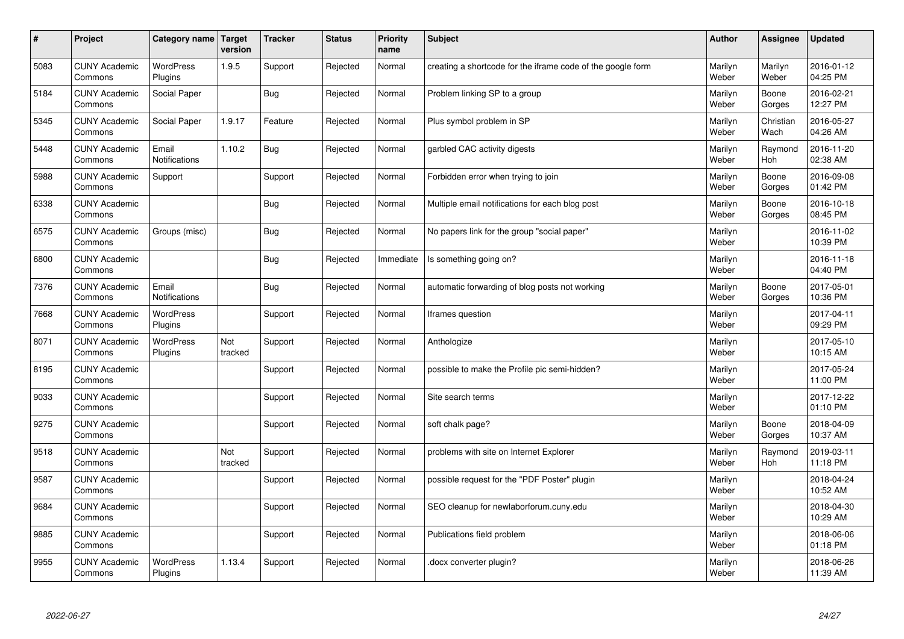| $\sharp$ | Project                         | Category name   Target        | version        | <b>Tracker</b> | <b>Status</b> | <b>Priority</b><br>name | <b>Subject</b>                                              | <b>Author</b>    | <b>Assignee</b>   | <b>Updated</b>         |
|----------|---------------------------------|-------------------------------|----------------|----------------|---------------|-------------------------|-------------------------------------------------------------|------------------|-------------------|------------------------|
| 5083     | <b>CUNY Academic</b><br>Commons | <b>WordPress</b><br>Plugins   | 1.9.5          | Support        | Rejected      | Normal                  | creating a shortcode for the iframe code of the google form | Marilyn<br>Weber | Marilyn<br>Weber  | 2016-01-12<br>04:25 PM |
| 5184     | <b>CUNY Academic</b><br>Commons | Social Paper                  |                | Bug            | Rejected      | Normal                  | Problem linking SP to a group                               | Marilyn<br>Weber | Boone<br>Gorges   | 2016-02-21<br>12:27 PM |
| 5345     | <b>CUNY Academic</b><br>Commons | Social Paper                  | 1.9.17         | Feature        | Rejected      | Normal                  | Plus symbol problem in SP                                   | Marilyn<br>Weber | Christian<br>Wach | 2016-05-27<br>04:26 AM |
| 5448     | <b>CUNY Academic</b><br>Commons | Email<br>Notifications        | 1.10.2         | <b>Bug</b>     | Rejected      | Normal                  | garbled CAC activity digests                                | Marilyn<br>Weber | Raymond<br>Hoh    | 2016-11-20<br>02:38 AM |
| 5988     | <b>CUNY Academic</b><br>Commons | Support                       |                | Support        | Rejected      | Normal                  | Forbidden error when trying to join                         | Marilyn<br>Weber | Boone<br>Gorges   | 2016-09-08<br>01:42 PM |
| 6338     | <b>CUNY Academic</b><br>Commons |                               |                | Bug            | Rejected      | Normal                  | Multiple email notifications for each blog post             | Marilyn<br>Weber | Boone<br>Gorges   | 2016-10-18<br>08:45 PM |
| 6575     | <b>CUNY Academic</b><br>Commons | Groups (misc)                 |                | <b>Bug</b>     | Rejected      | Normal                  | No papers link for the group "social paper"                 | Marilyn<br>Weber |                   | 2016-11-02<br>10:39 PM |
| 6800     | <b>CUNY Academic</b><br>Commons |                               |                | Bug            | Rejected      | Immediate               | Is something going on?                                      | Marilyn<br>Weber |                   | 2016-11-18<br>04:40 PM |
| 7376     | <b>CUNY Academic</b><br>Commons | Email<br><b>Notifications</b> |                | Bug            | Rejected      | Normal                  | automatic forwarding of blog posts not working              | Marilyn<br>Weber | Boone<br>Gorges   | 2017-05-01<br>10:36 PM |
| 7668     | <b>CUNY Academic</b><br>Commons | WordPress<br>Plugins          |                | Support        | Rejected      | Normal                  | Iframes question                                            | Marilyn<br>Weber |                   | 2017-04-11<br>09:29 PM |
| 8071     | <b>CUNY Academic</b><br>Commons | <b>WordPress</b><br>Plugins   | Not<br>tracked | Support        | Rejected      | Normal                  | Anthologize                                                 | Marilyn<br>Weber |                   | 2017-05-10<br>10:15 AM |
| 8195     | <b>CUNY Academic</b><br>Commons |                               |                | Support        | Rejected      | Normal                  | possible to make the Profile pic semi-hidden?               | Marilyn<br>Weber |                   | 2017-05-24<br>11:00 PM |
| 9033     | <b>CUNY Academic</b><br>Commons |                               |                | Support        | Rejected      | Normal                  | Site search terms                                           | Marilyn<br>Weber |                   | 2017-12-22<br>01:10 PM |
| 9275     | <b>CUNY Academic</b><br>Commons |                               |                | Support        | Rejected      | Normal                  | soft chalk page?                                            | Marilyn<br>Weber | Boone<br>Gorges   | 2018-04-09<br>10:37 AM |
| 9518     | <b>CUNY Academic</b><br>Commons |                               | Not<br>tracked | Support        | Rejected      | Normal                  | problems with site on Internet Explorer                     | Marilyn<br>Weber | Raymond<br>Hoh    | 2019-03-11<br>11:18 PM |
| 9587     | <b>CUNY Academic</b><br>Commons |                               |                | Support        | Rejected      | Normal                  | possible request for the "PDF Poster" plugin                | Marilyn<br>Weber |                   | 2018-04-24<br>10:52 AM |
| 9684     | <b>CUNY Academic</b><br>Commons |                               |                | Support        | Rejected      | Normal                  | SEO cleanup for newlaborforum.cuny.edu                      | Marilyn<br>Weber |                   | 2018-04-30<br>10:29 AM |
| 9885     | <b>CUNY Academic</b><br>Commons |                               |                | Support        | Rejected      | Normal                  | Publications field problem                                  | Marilyn<br>Weber |                   | 2018-06-06<br>01:18 PM |
| 9955     | <b>CUNY Academic</b><br>Commons | <b>WordPress</b><br>Plugins   | 1.13.4         | Support        | Rejected      | Normal                  | docx converter plugin?                                      | Marilyn<br>Weber |                   | 2018-06-26<br>11:39 AM |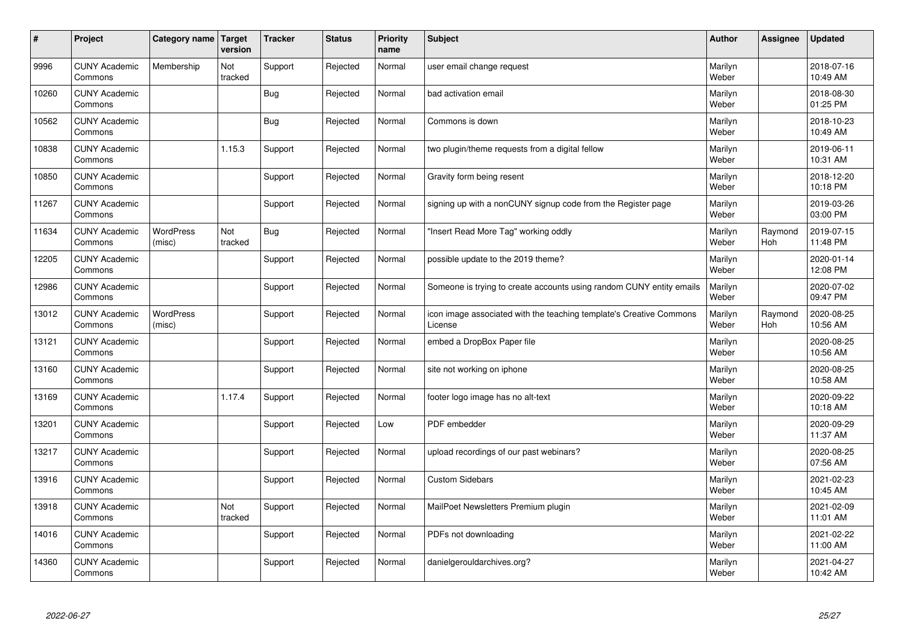| #     | Project                         | Category name Target       | version        | <b>Tracker</b> | <b>Status</b> | <b>Priority</b><br>name | <b>Subject</b>                                                                 | <b>Author</b>    | <b>Assignee</b> | <b>Updated</b>         |
|-------|---------------------------------|----------------------------|----------------|----------------|---------------|-------------------------|--------------------------------------------------------------------------------|------------------|-----------------|------------------------|
| 9996  | <b>CUNY Academic</b><br>Commons | Membership                 | Not<br>tracked | Support        | Rejected      | Normal                  | user email change request                                                      | Marilyn<br>Weber |                 | 2018-07-16<br>10:49 AM |
| 10260 | <b>CUNY Academic</b><br>Commons |                            |                | Bug            | Rejected      | Normal                  | bad activation email                                                           | Marilyn<br>Weber |                 | 2018-08-30<br>01:25 PM |
| 10562 | <b>CUNY Academic</b><br>Commons |                            |                | Bug            | Rejected      | Normal                  | Commons is down                                                                | Marilyn<br>Weber |                 | 2018-10-23<br>10:49 AM |
| 10838 | <b>CUNY Academic</b><br>Commons |                            | 1.15.3         | Support        | Rejected      | Normal                  | two plugin/theme requests from a digital fellow                                | Marilyn<br>Weber |                 | 2019-06-11<br>10:31 AM |
| 10850 | <b>CUNY Academic</b><br>Commons |                            |                | Support        | Rejected      | Normal                  | Gravity form being resent                                                      | Marilyn<br>Weber |                 | 2018-12-20<br>10:18 PM |
| 11267 | <b>CUNY Academic</b><br>Commons |                            |                | Support        | Rejected      | Normal                  | signing up with a nonCUNY signup code from the Register page                   | Marilyn<br>Weber |                 | 2019-03-26<br>03:00 PM |
| 11634 | <b>CUNY Academic</b><br>Commons | <b>WordPress</b><br>(misc) | Not<br>tracked | <b>Bug</b>     | Rejected      | Normal                  | 'Insert Read More Tag" working oddly                                           | Marilyn<br>Weber | Raymond<br>Hoh  | 2019-07-15<br>11:48 PM |
| 12205 | <b>CUNY Academic</b><br>Commons |                            |                | Support        | Rejected      | Normal                  | possible update to the 2019 theme?                                             | Marilyn<br>Weber |                 | 2020-01-14<br>12:08 PM |
| 12986 | <b>CUNY Academic</b><br>Commons |                            |                | Support        | Rejected      | Normal                  | Someone is trying to create accounts using random CUNY entity emails           | Marilyn<br>Weber |                 | 2020-07-02<br>09:47 PM |
| 13012 | <b>CUNY Academic</b><br>Commons | <b>WordPress</b><br>(misc) |                | Support        | Rejected      | Normal                  | icon image associated with the teaching template's Creative Commons<br>License | Marilyn<br>Weber | Raymond<br>Hoh  | 2020-08-25<br>10:56 AM |
| 13121 | <b>CUNY Academic</b><br>Commons |                            |                | Support        | Rejected      | Normal                  | embed a DropBox Paper file                                                     | Marilyn<br>Weber |                 | 2020-08-25<br>10:56 AM |
| 13160 | <b>CUNY Academic</b><br>Commons |                            |                | Support        | Rejected      | Normal                  | site not working on iphone                                                     | Marilyn<br>Weber |                 | 2020-08-25<br>10:58 AM |
| 13169 | <b>CUNY Academic</b><br>Commons |                            | 1.17.4         | Support        | Rejected      | Normal                  | footer logo image has no alt-text                                              | Marilyn<br>Weber |                 | 2020-09-22<br>10:18 AM |
| 13201 | <b>CUNY Academic</b><br>Commons |                            |                | Support        | Rejected      | Low                     | PDF embedder                                                                   | Marilyn<br>Weber |                 | 2020-09-29<br>11:37 AM |
| 13217 | <b>CUNY Academic</b><br>Commons |                            |                | Support        | Rejected      | Normal                  | upload recordings of our past webinars?                                        | Marilyn<br>Weber |                 | 2020-08-25<br>07:56 AM |
| 13916 | <b>CUNY Academic</b><br>Commons |                            |                | Support        | Rejected      | Normal                  | <b>Custom Sidebars</b>                                                         | Marilyn<br>Weber |                 | 2021-02-23<br>10:45 AM |
| 13918 | <b>CUNY Academic</b><br>Commons |                            | Not<br>tracked | Support        | Rejected      | Normal                  | MailPoet Newsletters Premium plugin                                            | Marilyn<br>Weber |                 | 2021-02-09<br>11:01 AM |
| 14016 | <b>CUNY Academic</b><br>Commons |                            |                | Support        | Rejected      | Normal                  | PDFs not downloading                                                           | Marilyn<br>Weber |                 | 2021-02-22<br>11:00 AM |
| 14360 | <b>CUNY Academic</b><br>Commons |                            |                | Support        | Rejected      | Normal                  | danielgerouldarchives.org?                                                     | Marilyn<br>Weber |                 | 2021-04-27<br>10:42 AM |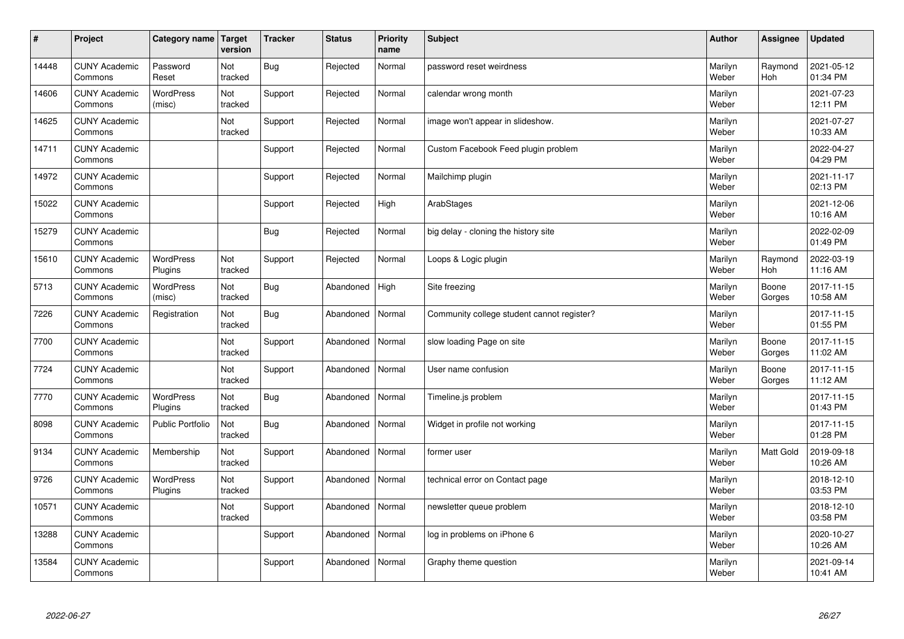| $\sharp$ | Project                         | Category name   Target      | version        | <b>Tracker</b> | <b>Status</b> | <b>Priority</b><br>name | <b>Subject</b>                             | <b>Author</b>    | Assignee              | <b>Updated</b>         |
|----------|---------------------------------|-----------------------------|----------------|----------------|---------------|-------------------------|--------------------------------------------|------------------|-----------------------|------------------------|
| 14448    | <b>CUNY Academic</b><br>Commons | Password<br>Reset           | Not<br>tracked | Bug            | Rejected      | Normal                  | password reset weirdness                   | Marilyn<br>Weber | Raymond<br><b>Hoh</b> | 2021-05-12<br>01:34 PM |
| 14606    | <b>CUNY Academic</b><br>Commons | <b>WordPress</b><br>(misc)  | Not<br>tracked | Support        | Rejected      | Normal                  | calendar wrong month                       | Marilyn<br>Weber |                       | 2021-07-23<br>12:11 PM |
| 14625    | <b>CUNY Academic</b><br>Commons |                             | Not<br>tracked | Support        | Rejected      | Normal                  | image won't appear in slideshow.           | Marilyn<br>Weber |                       | 2021-07-27<br>10:33 AM |
| 14711    | <b>CUNY Academic</b><br>Commons |                             |                | Support        | Rejected      | Normal                  | Custom Facebook Feed plugin problem        | Marilyn<br>Weber |                       | 2022-04-27<br>04:29 PM |
| 14972    | <b>CUNY Academic</b><br>Commons |                             |                | Support        | Rejected      | Normal                  | Mailchimp plugin                           | Marilyn<br>Weber |                       | 2021-11-17<br>02:13 PM |
| 15022    | <b>CUNY Academic</b><br>Commons |                             |                | Support        | Rejected      | High                    | ArabStages                                 | Marilyn<br>Weber |                       | 2021-12-06<br>10:16 AM |
| 15279    | <b>CUNY Academic</b><br>Commons |                             |                | <b>Bug</b>     | Rejected      | Normal                  | big delay - cloning the history site       | Marilyn<br>Weber |                       | 2022-02-09<br>01:49 PM |
| 15610    | <b>CUNY Academic</b><br>Commons | WordPress<br>Plugins        | Not<br>tracked | Support        | Rejected      | Normal                  | Loops & Logic plugin                       | Marilyn<br>Weber | Raymond<br>Hoh        | 2022-03-19<br>11:16 AM |
| 5713     | <b>CUNY Academic</b><br>Commons | WordPress<br>(misc)         | Not<br>tracked | <b>Bug</b>     | Abandoned     | High                    | Site freezing                              | Marilyn<br>Weber | Boone<br>Gorges       | 2017-11-15<br>10:58 AM |
| 7226     | <b>CUNY Academic</b><br>Commons | Registration                | Not<br>tracked | Bug            | Abandoned     | Normal                  | Community college student cannot register? | Marilyn<br>Weber |                       | 2017-11-15<br>01:55 PM |
| 7700     | <b>CUNY Academic</b><br>Commons |                             | Not<br>tracked | Support        | Abandoned     | Normal                  | slow loading Page on site                  | Marilyn<br>Weber | Boone<br>Gorges       | 2017-11-15<br>11:02 AM |
| 7724     | <b>CUNY Academic</b><br>Commons |                             | Not<br>tracked | Support        | Abandoned     | Normal                  | User name confusion                        | Marilyn<br>Weber | Boone<br>Gorges       | 2017-11-15<br>11:12 AM |
| 7770     | <b>CUNY Academic</b><br>Commons | <b>WordPress</b><br>Plugins | Not<br>tracked | Bug            | Abandoned     | Normal                  | Timeline.js problem                        | Marilyn<br>Weber |                       | 2017-11-15<br>01:43 PM |
| 8098     | <b>CUNY Academic</b><br>Commons | <b>Public Portfolio</b>     | Not<br>tracked | Bug            | Abandoned     | Normal                  | Widget in profile not working              | Marilyn<br>Weber |                       | 2017-11-15<br>01:28 PM |
| 9134     | <b>CUNY Academic</b><br>Commons | Membership                  | Not<br>tracked | Support        | Abandoned     | Normal                  | former user                                | Marilyn<br>Weber | Matt Gold             | 2019-09-18<br>10:26 AM |
| 9726     | <b>CUNY Academic</b><br>Commons | WordPress<br>Plugins        | Not<br>tracked | Support        | Abandoned     | Normal                  | technical error on Contact page            | Marilyn<br>Weber |                       | 2018-12-10<br>03:53 PM |
| 10571    | <b>CUNY Academic</b><br>Commons |                             | Not<br>tracked | Support        | Abandoned     | Normal                  | newsletter queue problem                   | Marilyn<br>Weber |                       | 2018-12-10<br>03:58 PM |
| 13288    | <b>CUNY Academic</b><br>Commons |                             |                | Support        | Abandoned     | Normal                  | log in problems on iPhone 6                | Marilyn<br>Weber |                       | 2020-10-27<br>10:26 AM |
| 13584    | <b>CUNY Academic</b><br>Commons |                             |                | Support        | Abandoned     | Normal                  | Graphy theme question                      | Marilyn<br>Weber |                       | 2021-09-14<br>10:41 AM |